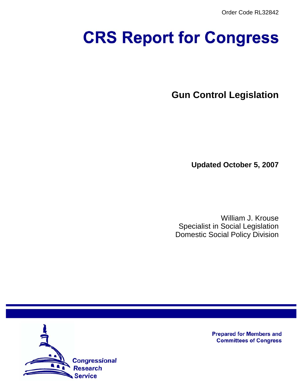Order Code RL32842

# **CRS Report for Congress**

**Gun Control Legislation**

**Updated October 5, 2007**

William J. Krouse Specialist in Social Legislation Domestic Social Policy Division



**Prepared for Members and Committees of Congress**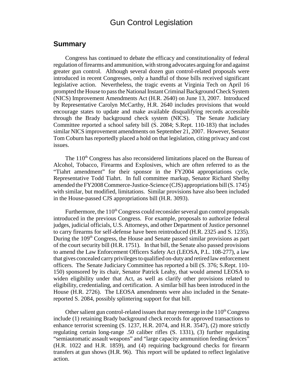# Gun Control Legislation

## **Summary**

Congress has continued to debate the efficacy and constitutionality of federal regulation of firearms and ammunition, with strong advocates arguing for and against greater gun control. Although several dozen gun control-related proposals were introduced in recent Congresses, only a handful of those bills received significant legislative action. Nevertheless, the tragic events at Virginia Tech on April 16 prompted the House to pass the National Instant Criminal Background Check System (NICS) Improvement Amendments Act (H.R. 2640) on June 13, 2007. Introduced by Representative Carolyn McCarthy, H.R. 2640 includes provisions that would encourage states to update and make available disqualifying records accessible through the Brady background check system (NICS). The Senate Judiciary Committee reported a school safety bill (S. 2084; S.Rept. 110-183) that includes similar NICS improvement amendments on September 21, 2007. However, Senator Tom Coburn has reportedly placed a hold on that legislation, citing privacy and cost issues.

The 110<sup>th</sup> Congress has also reconsidered limitations placed on the Bureau of Alcohol, Tobacco, Firearms and Explosives, which are often referred to as the "Tiahrt amendment" for their sponsor in the FY2004 appropriations cycle, Representative Todd Tiahrt. In full committee markup, Senator Richard Shelby amended the FY2008 Commerce-Justice-Science (CJS) appropriations bill (S. 1745) with similar, but modified, limitations. Similar provisions have also been included in the House-passed CJS appropriations bill (H.R. 3093).

Furthermore, the  $110<sup>th</sup>$  Congress could reconsider several gun control proposals introduced in the previous Congress. For example, proposals to authorize federal judges, judicial officials, U.S. Attorneys, and other Department of Justice personnel to carry firearms for self-defense have been reintroduced (H.R. 2325 and S. 1235). During the  $109<sup>th</sup>$  Congress, the House and Senate passed similar provisions as part of the court security bill (H.R. 1751). In that bill, the Senate also passed provisions to amend the Law Enforcement Officers Safety Act (LEOSA, P.L. 108-277), a law that gives concealed carry privileges to qualified on-duty and retired law enforcement officers. The Senate Judiciary Committee has reported a bill (S. 376; S.Rept. 110- 150) sponsored by its chair, Senator Patrick Leahy, that would amend LEOSA to widen eligibility under that Act, as well as clarify other provisions related to eligibility, credentialing, and certification. A similar bill has been introduced in the House (H.R. 2726). The LEOSA amendments were also included in the Senatereported S. 2084, possibly splintering support for that bill.

Other salient gun control-related issues that may reemerge in the  $110<sup>th</sup> Congress$ include (1) retaining Brady background check records for approved transactions to enhance terrorist screening (S. 1237, H.R. 2074, and H.R. 3547), (2) more strictly regulating certain long-range .50 caliber rifles (S. 1331), (3) further regulating "semiautomatic assault weapons" and "large capacity ammunition feeding devices" (H.R. 1022 and H.R. 1859), and (4) requiring background checks for firearm transfers at gun shows (H.R. 96). This report will be updated to reflect legislative action.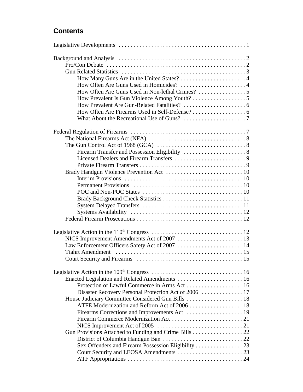# **Contents**

| NICS Improvement Amendments Act of 2007  13           |
|-------------------------------------------------------|
| Law Enforcement Officers Safety Act of 2007  14       |
|                                                       |
|                                                       |
|                                                       |
|                                                       |
| Enacted Legislation and Related Amendments  16        |
|                                                       |
|                                                       |
|                                                       |
|                                                       |
| Firearms Corrections and Improvements Act  19         |
|                                                       |
|                                                       |
| Gun Provisions Attached to Funding and Crime Bills 22 |
|                                                       |
|                                                       |
|                                                       |
|                                                       |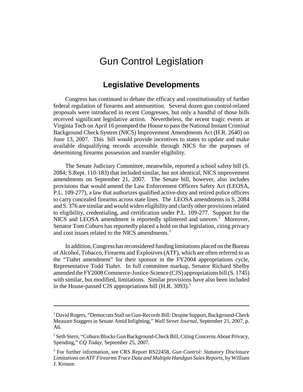# Gun Control Legislation

# **Legislative Developments**

Congress has continued to debate the efficacy and constitutionality of further federal regulation of firearms and ammunition. Several dozen gun control-related proposals were introduced in recent Congresses, but only a handful of those bills received significant legislative action. Nevertheless, the recent tragic events at Virginia Tech on April 16 prompted the House to pass the National Instant Criminal Background Check System (NICS) Improvement Amendments Act (H.R. 2640) on June 13, 2007. This bill would provide incentives to states to update and make available disqualifying records accessible through NICS for the purposes of determining firearms possession and transfer eligibility.

The Senate Judiciary Committee, meanwhile, reported a school safety bill (S. 2084; S.Rept. 110-183) that included similar, but not identical, NICS improvement amendments on September 21, 2007. The Senate bill, however, also includes provisions that would amend the Law Enforcement Officers Safety Act (LEOSA, P.L. 109-277), a law that authorizes qualified active-duty and retired police officers to carry concealed firearms across state lines. The LEOSA amendments in S. 2084 and S. 376 are similar and would widen eligibility and clarify other provisions related to eligibility, credentialing, and certification under P.L. 109-277. Support for the NICS and LEOSA amendment is reportedly splintered and uneven.<sup>1</sup> Moreover, Senator Tom Coburn has reportedly placed a hold on that legislation, citing privacy and cost issues related to the NICS amendments.<sup>2</sup>

In addition, Congress has reconsidered funding limitations placed on the Bureau of Alcohol, Tobacco, Firearms and Explosives (ATF), which are often referred to as the "Tiahrt amendment" for their sponsor in the FY2004 appropriations cycle, Representative Todd Tiahrt. In full committee markup, Senator Richard Shelby amended the FY2008 Commerce-Justice-Science (CJS) appropriations bill (S. 1745) with similar, but modified, limitations. Similar provisions have also been included in the House-passed CJS appropriations bill (H.R. 3093).<sup>3</sup>

<sup>&</sup>lt;sup>1</sup> David Rogers, "Democrats Stall on Gun-Records Bill: Despite Support, Background-Check Measure Staggers in Senate Amid Infighting," *Wall Street Journal*, September 21, 2007, p. A6.

<sup>&</sup>lt;sup>2</sup> Seth Stern, "Coburn Blocks Gun Background-Check Bill, Citing Concerns About Privacy, Spending," *CQ Today*, September 25, 2007.

<sup>3</sup> For further information, see CRS Report RS22458, *Gun Control: Statutory Disclosure Limitations on ATF Firearms Trace Data and Multiple Handgun Sales Reports*, by William J. Krouse.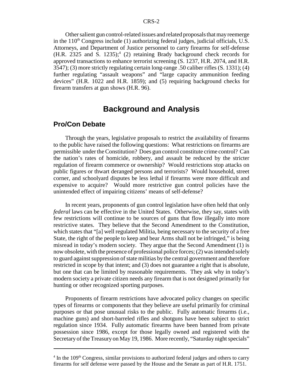Other salient gun control-related issues and related proposals that may reemerge in the  $110<sup>th</sup>$  Congress include (1) authorizing federal judges, judicial officials, U.S. Attorneys, and Department of Justice personnel to carry firearms for self-defense  $(H.R. 2325 and S. 1235);$ <sup>4</sup> (2) retaining Brady background check records for approved transactions to enhance terrorist screening (S. 1237, H.R. 2074, and H.R. 3547); (3) more strictly regulating certain long-range .50 caliber rifles (S. 1331); (4) further regulating "assault weapons" and "large capacity ammunition feeding devices" (H.R. 1022 and H.R. 1859); and (5) requiring background checks for firearm transfers at gun shows (H.R. 96).

# **Background and Analysis**

## **Pro/Con Debate**

Through the years, legislative proposals to restrict the availability of firearms to the public have raised the following questions: What restrictions on firearms are permissible under the Constitution? Does gun control constitute crime control? Can the nation's rates of homicide, robbery, and assault be reduced by the stricter regulation of firearm commerce or ownership? Would restrictions stop attacks on public figures or thwart deranged persons and terrorists? Would household, street corner, and schoolyard disputes be less lethal if firearms were more difficult and expensive to acquire? Would more restrictive gun control policies have the unintended effect of impairing citizens' means of self-defense?

In recent years, proponents of gun control legislation have often held that only *federal* laws can be effective in the United States. Otherwise, they say, states with few restrictions will continue to be sources of guns that flow illegally into more restrictive states. They believe that the Second Amendment to the Constitution, which states that "[a] well regulated Militia, being necessary to the security of a free State, the right of the people to keep and bear Arms shall not be infringed," is being misread in today's modern society. They argue that the Second Amendment (1) is now obsolete, with the presence of professional police forces; (2) was intended solely to guard against suppression of state militias by the central government and therefore restricted in scope by that intent; and (3) does not guarantee a right that is absolute, but one that can be limited by reasonable requirements. They ask why in today's modern society a private citizen needs any firearm that is not designed primarily for hunting or other recognized sporting purposes.

Proponents of firearm restrictions have advocated policy changes on specific types of firearms or components that they believe are useful primarily for criminal purposes or that pose unusual risks to the public. Fully automatic firearms (i.e., machine guns) and short-barreled rifles and shotguns have been subject to strict regulation since 1934. Fully automatic firearms have been banned from private possession since 1986, except for those legally owned and registered with the Secretary of the Treasury on May 19, 1986. More recently, "Saturday night specials"

 $4$  In the 109<sup>th</sup> Congress, similar provisions to authorized federal judges and others to carry firearms for self defense were passed by the House and the Senate as part of H.R. 1751.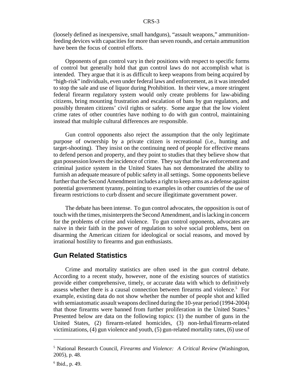(loosely defined as inexpensive, small handguns), "assault weapons," ammunitionfeeding devices with capacities for more than seven rounds, and certain ammunition have been the focus of control efforts.

Opponents of gun control vary in their positions with respect to specific forms of control but generally hold that gun control laws do not accomplish what is intended. They argue that it is as difficult to keep weapons from being acquired by "high-risk" individuals, even under federal laws and enforcement, as it was intended to stop the sale and use of liquor during Prohibition. In their view, a more stringent federal firearm regulatory system would only create problems for law-abiding citizens, bring mounting frustration and escalation of bans by gun regulators, and possibly threaten citizens' civil rights or safety. Some argue that the low violent crime rates of other countries have nothing to do with gun control, maintaining instead that multiple cultural differences are responsible.

Gun control opponents also reject the assumption that the only legitimate purpose of ownership by a private citizen is recreational (i.e., hunting and target-shooting). They insist on the continuing need of people for effective means to defend person and property, and they point to studies that they believe show that gun possession lowers the incidence of crime. They say that the law enforcement and criminal justice system in the United States has not demonstrated the ability to furnish an adequate measure of public safety in all settings. Some opponents believe further that the Second Amendment includes a right to keep arms as a defense against potential government tyranny, pointing to examples in other countries of the use of firearm restrictions to curb dissent and secure illegitimate government power.

The debate has been intense. To gun control advocates, the opposition is out of touch with the times, misinterprets the Second Amendment, and is lacking in concern for the problems of crime and violence. To gun control opponents, advocates are naive in their faith in the power of regulation to solve social problems, bent on disarming the American citizen for ideological or social reasons, and moved by irrational hostility to firearms and gun enthusiasts.

#### **Gun Related Statistics**

Crime and mortality statistics are often used in the gun control debate. According to a recent study, however, none of the existing sources of statistics provide either comprehensive, timely, or accurate data with which to definitively assess whether there is a causal connection between firearms and violence.<sup>5</sup> For example, existing data do not show whether the number of people shot and killed with semiautomatic assault weapons declined during the 10-year period (1994-2004) that those firearms were banned from further proliferation in the United States.<sup>6</sup> Presented below are data on the following topics: (1) the number of guns in the United States, (2) firearm-related homicides, (3) non-lethal/firearm-related victimizations, (4) gun violence and youth, (5) gun-related mortality rates, (6) use of

<sup>5</sup> National Research Council, *Firearms and Violence: A Critical Review* (Washington, 2005), p. 48.

<sup>6</sup> Ibid., p. 49.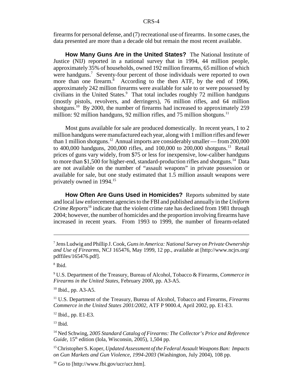firearms for personal defense, and (7) recreational use of firearms. In some cases, the data presented are more than a decade old but remain the most recent available.

**How Many Guns Are in the United States?** The National Institute of Justice (NIJ) reported in a national survey that in 1994, 44 million people, approximately 35% of households, owned 192 million firearms, 65 million of which were handguns.<sup>7</sup> Seventy-four percent of those individuals were reported to own more than one firearm.<sup>8</sup> According to the then ATF, by the end of 1996, approximately 242 million firearms were available for sale to or were possessed by civilians in the United States.<sup>9</sup> That total includes roughly 72 million handguns (mostly pistols, revolvers, and derringers), 76 million rifles, and 64 million shotguns.<sup>10</sup> By 2000, the number of firearms had increased to approximately 259 million: 92 million handguns, 92 million rifles, and 75 million shotguns.<sup>11</sup>

Most guns available for sale are produced domestically. In recent years, 1 to 2 million handguns were manufactured each year, along with 1 million rifles and fewer than 1 million shotguns.<sup>12</sup> Annual imports are considerably smaller — from  $200,000$ to 400,000 handguns, 200,000 rifles, and 100,000 to 200,000 shotguns.13 Retail prices of guns vary widely, from \$75 or less for inexpensive, low-caliber handguns to more than \$1,500 for higher-end, standard-production rifles and shotguns.<sup>14</sup> Data are not available on the number of "assault weapons" in private possession or available for sale, but one study estimated that 1.5 million assault weapons were privately owned in 1994.15

**How Often Are Guns Used in Homicides?** Reports submitted by state and local law enforcement agencies to the FBI and published annually in the *Uniform Crime Reports*16 indicate that the violent crime rate has declined from 1981 through 2004; however, the number of homicides and the proportion involving firearms have increased in recent years. From 1993 to 1999, the number of firearm-related

 $10$  Ibid., pp. A3-A5.

11 U.S. Department of the Treasury, Bureau of Alcohol, Tobacco and Firearms, *Firearms Commerce in the United States 2001/2002*, ATF P 9000.4, April 2002, pp. E1-E3.

 $12$  Ibid., pp. E1-E3.

 $13$  Ibid.

14 Ned Schwing, 2*005 Standard Catalog of Firearms: The Collector's Price and Reference Guide*, 15<sup>th</sup> edition (Iola, Wisconsin, 2005), 1,504 pp.

15 Christopher S. Koper, *Updated Assessment of the Federal Assault Weapons Ban: Impacts on Gun Markets and Gun Violence, 1994-2003* (Washington, July 2004), 108 pp.

 $16$  Go to [http://www.fbi.gov/ucr/ucr.htm].

<sup>7</sup> Jens Ludwig and Phillip J. Cook, *Guns in America: National Survey on Private Ownership and Use of Firearms*, NCJ 165476, May 1999, 12 pp., available at [http://www.ncjrs.org/ pdffiles/165476.pdf].

<sup>8</sup> Ibid.

<sup>9</sup> U.S. Department of the Treasury, Bureau of Alcohol, Tobacco & Firearms, *Commerce in Firearms in the United States*, February 2000, pp. A3-A5.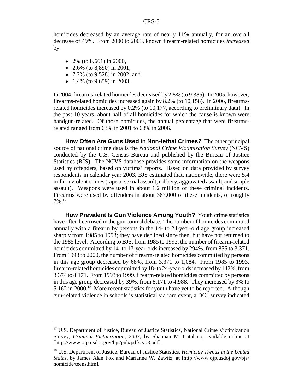homicides decreased by an average rate of nearly 11% annually, for an overall decrease of 49%. From 2000 to 2003, known firearm-related homicides *increased* by

- 2% (to  $8,661$ ) in 2000,
- 2.6% (to 8,890) in 2001,
- 7.2% (to 9,528) in 2002, and
- $\bullet$  1.4% (to 9,659) in 2003.

In 2004, firearms-related homicides decreased by 2.8% (to 9,385). In 2005, however, firearms-related homicides increased again by 8.2% (to 10,158). In 2006, firearmsrelated homicides increased by 0.2% (to 10,177, according to preliminary data). In the past 10 years, about half of all homicides for which the cause is known were handgun-related. Of those homicides, the annual percentage that were firearmsrelated ranged from 63% in 2001 to 68% in 2006.

**How Often Are Guns Used in Non-lethal Crimes?** The other principal source of national crime data is the *National Crime Victimization Survey* (NCVS) conducted by the U.S. Census Bureau and published by the Bureau of Justice Statistics (BJS). The NCVS database provides some information on the weapons used by offenders, based on victims' reports. Based on data provided by survey respondents in calendar year 2003, BJS estimated that, nationwide, there were 5.4 million violent crimes (rape or sexual assault, robbery, aggravated assault, and simple assault). Weapons were used in about 1.2 million of these criminal incidents. Firearms were used by offenders in about 367,000 of these incidents, or roughly 7%.17

**How Prevalent Is Gun Violence Among Youth?** Youth crime statistics have often been used in the gun control debate. The number of homicides committed annually with a firearm by persons in the 14- to 24-year-old age group increased sharply from 1985 to 1993; they have declined since then, but have not returned to the 1985 level. According to BJS, from 1985 to 1993, the number of firearm-related homicides committed by 14- to 17-year-olds increased by 294%, from 855 to 3,371. From 1993 to 2000, the number of firearm-related homicides committed by persons in this age group decreased by 68%, from 3,371 to 1,084. From 1985 to 1993, firearm-related homicides committed by 18- to 24-year-olds increased by 142%, from 3,374 to 8,171. From 1993 to 1999, firearm-related homicides committed by persons in this age group decreased by 39%, from 8,171 to 4,988. They increased by 3% to 5,162 in 2000.<sup>18</sup> More recent statistics for youth have yet to be reported. Although gun-related violence in schools is statistically a rare event, a DOJ survey indicated

<sup>&</sup>lt;sup>17</sup> U.S. Department of Justice, Bureau of Justice Statistics, National Crime Victimization Survey, *Criminal Victimization, 2003*, by Shannan M. Catalano, available online at [http://www.ojp.usdoj.gov/bjs/pub/pdf/cv03.pdf].

<sup>18</sup> U.S. Department of Justice, Bureau of Justice Statistics, *Homicide Trends in the United States*, by James Alan Fox and Marianne W. Zawitz, at [http://www.ojp.usdoj.gov/bjs/ homicide/teens.htm].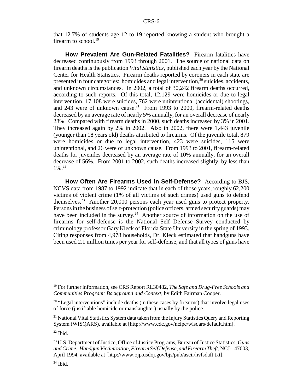that 12.7% of students age 12 to 19 reported knowing a student who brought a firearm to school.<sup>19</sup>

**How Prevalent Are Gun-Related Fatalities?** Firearm fatalities have decreased continuously from 1993 through 2001. The source of national data on firearm deaths is the publication *Vital Statistics*, published each year by the National Center for Health Statistics. Firearm deaths reported by coroners in each state are presented in four categories: homicides and legal intervention, $2^{\circ}$  suicides, accidents, and unknown circumstances. In 2002, a total of 30,242 firearm deaths occurred, according to such reports. Of this total, 12,129 were homicides or due to legal intervention, 17,108 were suicides, 762 were unintentional (accidental) shootings, and 243 were of unknown cause.<sup>21</sup> From 1993 to 2000, firearm-related deaths decreased by an average rate of nearly 5% annually, for an overall decrease of nearly 28%. Compared with firearm deaths in 2000, such deaths increased by 3% in 2001. They increased again by 2% in 2002. Also in 2002, there were 1,443 juvenile (younger than 18 years old) deaths attributed to firearms. Of the juvenile total, 879 were homicides or due to legal intervention, 423 were suicides, 115 were unintentional, and 26 were of unknown cause. From 1993 to 2001, firearm-related deaths for juveniles decreased by an average rate of 10% annually, for an overall decrease of 56%. From 2001 to 2002, such deaths increased slightly, by less than  $1\%$ <sup>22</sup>

**How Often Are Firearms Used in Self-Defense?** According to BJS, NCVS data from 1987 to 1992 indicate that in each of those years, roughly 62,200 victims of violent crime (1% of all victims of such crimes) used guns to defend themselves.<sup>23</sup> Another 20,000 persons each year used guns to protect property. Persons in the business of self-protection (police officers, armed security guards) may have been included in the survey.<sup>24</sup> Another source of information on the use of firearms for self-defense is the National Self Defense Survey conducted by criminology professor Gary Kleck of Florida State University in the spring of 1993. Citing responses from 4,978 households, Dr. Kleck estimated that handguns have been used 2.1 million times per year for self-defense, and that all types of guns have

<sup>19</sup> For further information, see CRS Report RL30482, *The Safe and Drug-Free Schools and Communities Program: Background and Context*, by Edith Fairman Cooper.

 $20$  "Legal interventions" include deaths (in these cases by firearms) that involve legal uses of force (justifiable homicide or manslaughter) usually by the police.

 $21$  National Vital Statistics System data taken from the Injury Statistics Query and Reporting System (WISQARS), available at [http://www.cdc.gov/ncipc/wisqars/default.htm].

 $22$  Ibid.

<sup>23</sup> U.S. Department of Justice, Office of Justice Programs, Bureau of Justice Statistics, *Guns and Crime: Handgun Victimization, Firearm Self Defense, and Firearm Theft*, NCJ-147003, April 1994, available at [http://www.ojp.usdoj.gov/bjs/pub/ascii/hvfsdaft.txt].

 $^{24}$  Ibid.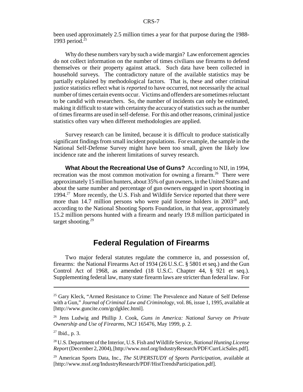been used approximately 2.5 million times a year for that purpose during the 1988- 1993 period. $25$ 

Why do these numbers vary by such a wide margin? Law enforcement agencies do not collect information on the number of times civilians use firearms to defend themselves or their property against attack. Such data have been collected in household surveys. The contradictory nature of the available statistics may be partially explained by methodological factors. That is, these and other criminal justice statistics reflect what is *reported* to have occurred, not necessarily the actual number of times certain events occur. Victims and offenders are sometimes reluctant to be candid with researchers. So, the number of incidents can only be estimated, making it difficult to state with certainty the accuracy of statistics such as the number of times firearms are used in self-defense. For this and other reasons, criminal justice statistics often vary when different methodologies are applied.

Survey research can be limited, because it is difficult to produce statistically significant findings from small incident populations. For example, the sample in the National Self-Defense Survey might have been too small, given the likely low incidence rate and the inherent limitations of survey research.

**What About the Recreational Use of Guns?** According to NIJ, in 1994, recreation was the most common motivation for owning a firearm.<sup>26</sup> There were approximately 15 million hunters, about 35% of gun owners, in the United States and about the same number and percentage of gun owners engaged in sport shooting in 1994.<sup>27</sup> More recently, the U.S. Fish and Wildlife Service reported that there were more than 14.7 million persons who were paid license holders in  $2003^{28}$  and, according to the National Shooting Sports Foundation, in that year, approximately 15.2 million persons hunted with a firearm and nearly 19.8 million participated in target shooting. $29$ 

# **Federal Regulation of Firearms**

Two major federal statutes regulate the commerce in, and possession of, firearms: the National Firearms Act of 1934 (26 U.S.C. § 5801 et seq.) and the Gun Control Act of 1968, as amended (18 U.S.C. Chapter 44, § 921 et seq.). Supplementing federal law, many state firearm laws are stricter than federal law. For

<sup>&</sup>lt;sup>25</sup> Gary Kleck, "Armed Resistance to Crime: The Prevalence and Nature of Self Defense with a Gun," *Journal of Criminal Law and Criminology*, vol. 86, issue 1, 1995, available at [http://www.guncite.com/gcdgklec.html].

<sup>26</sup> Jens Ludwig and Phillip J. Cook, *Guns in America: National Survey on Private Ownership and Use of Firearms*, NCJ 165476, May 1999, p. 2.

 $27$  Ibid., p. 3.

<sup>28</sup> U.S. Department of the Interior, U.S. Fish and Wildlife Service, *National Hunting License Report* (December 2, 2004), [http://www.nssf.org/IndustryResearch/PDF/CurrLicSales.pdf].

<sup>29</sup> American Sports Data, Inc., *The SUPERSTUDY of Sports Participation*, available at [http://www.nssf.org/IndustryResearch/PDF/HistTrendsParticipation.pdf].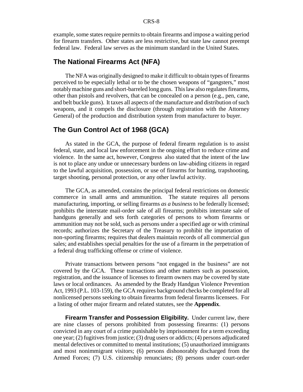example, some states require permits to obtain firearms and impose a waiting period for firearm transfers. Other states are less restrictive, but state law cannot preempt federal law. Federal law serves as the minimum standard in the United States.

## **The National Firearms Act (NFA)**

The NFA was originally designed to make it difficult to obtain types of firearms perceived to be especially lethal or to be the chosen weapons of "gangsters," most notably machine guns and short-barreled long guns. This law also regulates firearms, other than pistols and revolvers, that can be concealed on a person (e.g., pen, cane, and belt buckle guns). It taxes all aspects of the manufacture and distribution of such weapons, and it compels the disclosure (through registration with the Attorney General) of the production and distribution system from manufacturer to buyer.

#### **The Gun Control Act of 1968 (GCA)**

As stated in the GCA, the purpose of federal firearm regulation is to assist federal, state, and local law enforcement in the ongoing effort to reduce crime and violence. In the same act, however, Congress also stated that the intent of the law is not to place any undue or unnecessary burdens on law-abiding citizens in regard to the lawful acquisition, possession, or use of firearms for hunting, trapshooting, target shooting, personal protection, or any other lawful activity.

The GCA, as amended, contains the principal federal restrictions on domestic commerce in small arms and ammunition. The statute requires all persons manufacturing, importing, or selling firearms *as a business* to be federally licensed; prohibits the interstate mail-order sale of all firearms; prohibits interstate sale of handguns generally and sets forth categories of persons to whom firearms or ammunition may not be sold, such as persons under a specified age or with criminal records; authorizes the Secretary of the Treasury to prohibit the importation of non-sporting firearms; requires that dealers maintain records of all commercial gun sales; and establishes special penalties for the use of a firearm in the perpetration of a federal drug trafficking offense or crime of violence.

Private transactions between persons "not engaged in the business" are not covered by the GCA. These transactions and other matters such as possession, registration, and the issuance of licenses to firearm owners may be covered by state laws or local ordinances. As amended by the Brady Handgun Violence Prevention Act, 1993 (P.L. 103-159), the GCA requires background checks be completed for all nonlicensed persons seeking to obtain firearms from federal firearms licensees. For a listing of other major firearm and related statutes, see the **Appendix**.

**Firearm Transfer and Possession Eligibility.** Under current law, there are nine classes of persons prohibited from possessing firearms: (1) persons convicted in any court of a crime punishable by imprisonment for a term exceeding one year; (2) fugitives from justice; (3) drug users or addicts; (4) persons adjudicated mental defectives or committed to mental institutions; (5) unauthorized immigrants and most nonimmigrant visitors; (6) persons dishonorably discharged from the Armed Forces; (7) U.S. citizenship renunciates; (8) persons under court-order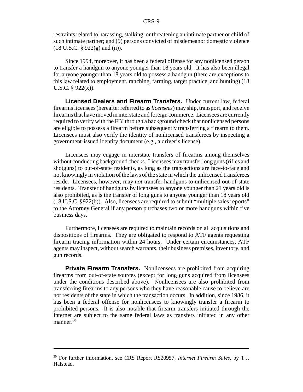restraints related to harassing, stalking, or threatening an intimate partner or child of such intimate partner; and (9) persons convicted of misdemeanor domestic violence  $(18 \text{ U.S.C. } § 922(g) \text{ and } (n)).$ 

Since 1994, moreover, it has been a federal offense for any nonlicensed person to transfer a handgun to anyone younger than 18 years old. It has also been illegal for anyone younger than 18 years old to possess a handgun (there are exceptions to this law related to employment, ranching, farming, target practice, and hunting) (18 U.S.C.  $\S$  922(x)).

**Licensed Dealers and Firearm Transfers.** Under current law, federal firearms licensees (hereafter referred to as *licensees*) may ship, transport, and receive firearms that have moved in interstate and foreign commerce. Licensees are currently required to verify with the FBI through a background check that nonlicensed persons are eligible to possess a firearm before subsequently transferring a firearm to them. Licensees must also verify the identity of nonlicensed transferees by inspecting a government-issued identity document (e.g., a driver's license).

Licensees may engage in interstate transfers of firearms among themselves without conducting background checks. Licensees may transfer long guns (rifles and shotguns) to out-of-state residents, as long as the transactions are face-to-face and not knowingly in violation of the laws of the state in which the unlicensed transferees reside. Licensees, however, may *not* transfer handguns to unlicensed out-of-state residents. Transfer of handguns by licensees to anyone younger than 21 years old is also prohibited, as is the transfer of long guns to anyone younger than 18 years old (18 U.S.C. §922(b)). Also, licensees are required to submit "multiple sales reports" to the Attorney General if any person purchases two or more handguns within five business days.

Furthermore, licensees are required to maintain records on all acquisitions and dispositions of firearms. They are obligated to respond to ATF agents requesting firearm tracing information within 24 hours. Under certain circumstances, ATF agents may inspect, without search warrants, their business premises, inventory, and gun records.

**Private Firearm Transfers.** Nonlicensees are prohibited from acquiring firearms from out-of-state sources (except for long guns acquired from licensees under the conditions described above). Nonlicensees are also prohibited from transferring firearms to any persons who they have reasonable cause to believe are not residents of the state in which the transaction occurs. In addition, since 1986, it has been a federal offense for nonlicensees to knowingly transfer a firearm to prohibited persons. It is also notable that firearm transfers initiated through the Internet are subject to the same federal laws as transfers initiated in any other manner.<sup>30</sup>

<sup>30</sup> For further information, see CRS Report RS20957, *Internet Firearm Sales*, by T.J. Halstead.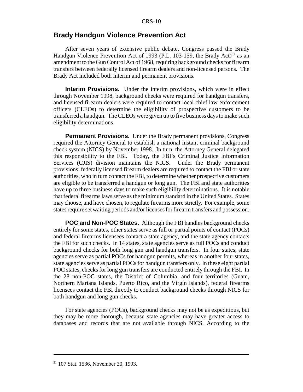## **Brady Handgun Violence Prevention Act**

After seven years of extensive public debate, Congress passed the Brady Handgun Violence Prevention Act of 1993 (P.L. 103-159, the Brady Act)<sup>31</sup> as an amendment to the Gun Control Act of 1968, requiring background checks for firearm transfers between federally licensed firearm dealers and non-licensed persons. The Brady Act included both interim and permanent provisions.

**Interim Provisions.** Under the interim provisions, which were in effect through November 1998, background checks were required for handgun transfers, and licensed firearm dealers were required to contact local chief law enforcement officers (CLEOs) to determine the eligibility of prospective customers to be transferred a handgun. The CLEOs were given up to five business days to make such eligibility determinations.

**Permanent Provisions.** Under the Brady permanent provisions, Congress required the Attorney General to establish a national instant criminal background check system (NICS) by November 1998. In turn, the Attorney General delegated this responsibility to the FBI. Today, the FBI's Criminal Justice Information Services (CJIS) division maintains the NICS. Under the Brady permanent provisions, federally licensed firearm dealers are required to contact the FBI or state authorities, who in turn contact the FBI, to determine whether prospective customers are eligible to be transferred a handgun or long gun. The FBI and state authorities have up to three business days to make such eligibility determinations. It is notable that federal firearms laws serve as the minimum standard in the United States. States may choose, and have chosen, to regulate firearms more strictly. For example, some states require set waiting periods and/or licenses for firearm transfers and possession.

**POC and Non-POC States.** Although the FBI handles background checks entirely for some states, other states serve as full or partial points of contact (POCs) and federal firearms licensees contact a state agency, and the state agency contacts the FBI for such checks. In 14 states, state agencies serve as full POCs and conduct background checks for both long gun and handgun transfers. In four states, state agencies serve as partial POCs for handgun permits, whereas in another four states, state agencies serve as partial POCs for handgun transfers only. In these eight partial POC states, checks for long gun transfers are conducted entirely through the FBI. In the 28 non-POC states, the District of Columbia, and four territories (Guam, Northern Mariana Islands, Puerto Rico, and the Virgin Islands), federal firearms licensees contact the FBI directly to conduct background checks through NICS for both handgun and long gun checks.

For state agencies (POCs), background checks may not be as expeditious, but they may be more thorough, because state agencies may have greater access to databases and records that are not available through NICS. According to the

 $31$  107 Stat. 1536, November 30, 1993.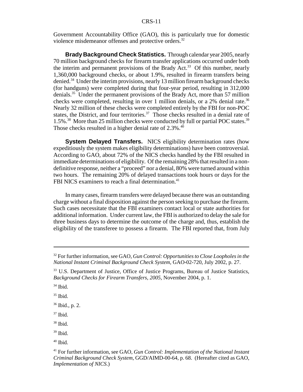Government Accountability Office (GAO), this is particularly true for domestic violence misdemeanor offenses and protective orders.<sup>32</sup>

**Brady Background Check Statistics.** Through calendar year 2005, nearly 70 million background checks for firearm transfer applications occurred under both the interim and permanent provisions of the Brady Act.<sup>33</sup> Of this number, nearly 1,360,000 background checks, or about 1.9%, resulted in firearm transfers being denied.34 Under the interim provisions, nearly 13 million firearm background checks (for handguns) were completed during that four-year period, resulting in 312,000 denials.35 Under the permanent provisions of the Brady Act, more than 57 million checks were completed, resulting in over 1 million denials, or a 2% denial rate.<sup>36</sup> Nearly 32 million of these checks were completed entirely by the FBI for non-POC states, the District, and four territories. $37$  Those checks resulted in a denial rate of 1.5%<sup>38</sup> More than 25 million checks were conducted by full or partial POC states.<sup>39</sup> Those checks resulted in a higher denial rate of  $2.3\%$ .<sup>40</sup>

**System Delayed Transfers.** NICS eligibility determination rates (how expeditiously the system makes eligibility determinations) have been controversial. According to GAO, about 72% of the NICS checks handled by the FBI resulted in immediate determinations of eligibility. Of the remaining 28% that resulted in a nondefinitive response, neither a "proceed" nor a denial, 80% were turned around within two hours. The remaining 20% of delayed transactions took hours or days for the FBI NICS examiners to reach a final determination.<sup>41</sup>

In many cases, firearm transfers were delayed because there was an outstanding charge without a final disposition against the person seeking to purchase the firearm. Such cases necessitate that the FBI examiners contact local or state authorities for additional information. Under current law, the FBI is authorized to delay the sale for three business days to determine the outcome of the charge and, thus, establish the eligibility of the transferee to possess a firearm. The FBI reported that, from July

<sup>32</sup> For further information, see GAO, *Gun Control: Opportunities to Close Loopholes in the National Instant Criminal Background Check System*, GAO-02-720, July 2002, p. 27.

<sup>&</sup>lt;sup>33</sup> U.S. Department of Justice, Office of Justice Programs, Bureau of Justice Statistics, *Background Checks for Firearm Transfers, 2005*, November 2004, p. 1.

 $34$  Ibid.

 $35$  Ibid.

<sup>36</sup> Ibid., p. 2.

<sup>37</sup> Ibid.

<sup>38</sup> Ibid.

 $39$  Ibid.

<sup>40</sup> Ibid.

<sup>41</sup> For further information, see GAO, *Gun Control: Implementation of the National Instant Criminal Background Check System*, GGD/AIMD-00-64, p. 68. (Hereafter cited as GAO, *Implementation of NICS*.)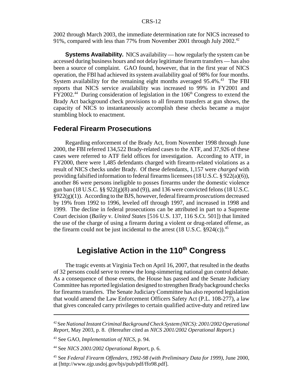2002 through March 2003, the immediate determination rate for NICS increased to 91%, compared with less than 77% from November 2001 through July 2002.<sup>42</sup>

**Systems Availability.** NICS availability — how regularly the system can be accessed during business hours and not delay legitimate firearm transfers — has also been a source of complaint. GAO found, however, that in the first year of NICS operation, the FBI had achieved its system availability goal of 98% for four months. System availability for the remaining eight months averaged  $95.4\%$ .<sup>43</sup> The FBI reports that NICS service availability was increased to 99% in FY2001 and  $FY2002<sup>44</sup>$  During consideration of legislation in the  $106<sup>th</sup>$  Congress to extend the Brady Act background check provisions to all firearm transfers at gun shows, the capacity of NICS to instantaneously accomplish these checks became a major stumbling block to enactment.

#### **Federal Firearm Prosecutions**

Regarding enforcement of the Brady Act, from November 1998 through June 2000, the FBI referred 134,522 Brady-related cases to the ATF, and 37,926 of these cases were referred to ATF field offices for investigation. According to ATF, in FY2000, there were 1,485 defendants charged with firearm-related violations as a result of NICS checks under Brady. Of these defendants, 1,157 were *charged* with providing falsified information to federal firearms licensees (18 U.S.C.  $\S 922(a)(6)$ ), another 86 were persons ineligible to posses firearms under the domestic violence gun ban (18 U.S.C. §§  $922(g)(8)$  and (9)), and 136 were convicted felons (18 U.S.C. §922(g)(1)). According to the BJS, however, federal firearm *prosecutions* decreased by 19% from 1992 to 1996, leveled off through 1997, and increased in 1998 and 1999. The decline in federal prosecutions can be attributed in part to a Supreme Court decision (*Bailey* v. *United States* [516 U.S. 137, 116 S.Ct. 501]) that limited the use of the charge of using a firearm during a violent or drug-related offense, as the firearm could not be just incidental to the arrest (18 U.S.C.  $\S 924(c)$ ).<sup>45</sup>

# Legislative Action in the 110<sup>th</sup> Congress

The tragic events at Virginia Tech on April 16, 2007, that resulted in the deaths of 32 persons could serve to renew the long-simmering national gun control debate. As a consequence of those events, the House has passed and the Senate Judiciary Committee has reported legislation designed to strengthen Brady background checks for firearms transfers. The Senate Judiciary Committee has also reported legislation that would amend the Law Enforcement Officers Safety Act (P.L. 108-277), a law that gives concealed carry privileges to certain qualified active-duty and retired law

<sup>42</sup> See *National Instant Criminal Background Check System (NICS): 2001/2002 Operational Report*, May 2003, p. 8. (Hereafter cited as *NICS 2001/2002 Operational Report*.)

<sup>43</sup> See GAO, *Implementation of NICS*, p. 94.

<sup>44</sup> See *NICS 2001/2002 Operational Report*, p. 6.

<sup>45</sup> See *Federal Firearm Offenders, 1992-98 (with Preliminary Data for 1999)*, June 2000, at [http://www.ojp.usdoj.gov/bjs/pub/pdf/ffo98.pdf].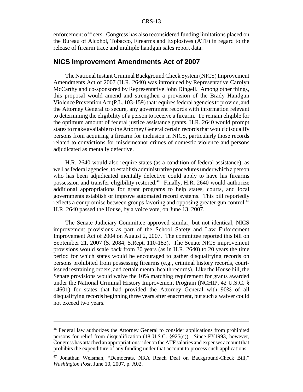enforcement officers. Congress has also reconsidered funding limitations placed on the Bureau of Alcohol, Tobacco, Firearms and Explosives (ATF) in regard to the release of firearm trace and multiple handgun sales report data.

## **NICS Improvement Amendments Act of 2007**

The National Instant Criminal Background Check System (NICS) Improvement Amendments Act of 2007 (H.R. 2640) was introduced by Representative Carolyn McCarthy and co-sponsored by Representative John Dingell. Among other things, this proposal would amend and strengthen a provision of the Brady Handgun Violence Prevention Act (P.L. 103-159) that requires federal agencies to provide, and the Attorney General to secure, any government records with information relevant to determining the eligibility of a person to receive a firearm. To remain eligible for the optimum amount of federal justice assistance grants, H.R. 2640 would prompt states to make available to the Attorney General certain records that would disqualify persons from acquiring a firearm for inclusion in NICS, particularly those records related to convictions for misdemeanor crimes of domestic violence and persons adjudicated as mentally defective.

H.R. 2640 would also require states (as a condition of federal assistance), as well as federal agencies, to establish administrative procedures under which a person who has been adjudicated mentally defective could apply to have his firearms possession and transfer eligibility restored.46 Finally, H.R. 2640 would authorize additional appropriations for grant programs to help states, courts, and local governments establish or improve automated record systems. This bill reportedly reflects a compromise between groups favoring and opposing greater gun control.<sup>47</sup> H.R. 2640 passed the House, by a voice vote, on June 13, 2007.

The Senate Judiciary Committee approved similar, but not identical, NICS improvement provisions as part of the School Safety and Law Enforcement Improvement Act of 2004 on August 2, 2007. The committee reported this bill on September 21, 2007 (S. 2084; S.Rept. 110-183). The Senate NICS improvement provisions would scale back from 30 years (as in H.R. 2640) to 20 years the time period for which states would be encouraged to gather disqualifying records on persons prohibited from possessing firearms (e.g., criminal history records, courtissued restraining orders, and certain mental health records). Like the House bill, the Senate provisions would waive the 10% matching requirement for grants awarded under the National Criminal History Improvement Program (NCHIP, 42 U.S.C. § 14601) for states that had provided the Attorney General with 90% of all disqualifying records beginning three years after enactment, but such a waiver could not exceed two years.

<sup>46</sup> Federal law authorizes the Attorney General to consider applications from prohibited persons for relief from disqualification (18 U.S.C. §925(c)). Since FY1993, however, Congress has attached an appropriations rider on the ATF salaries and expenses account that prohibits the expenditure of any funding under that account to process such applications.

<sup>47</sup> Jonathan Weisman, "Democrats, NRA Reach Deal on Background-Check Bill," *Washington Post*, June 10, 2007, p. A02.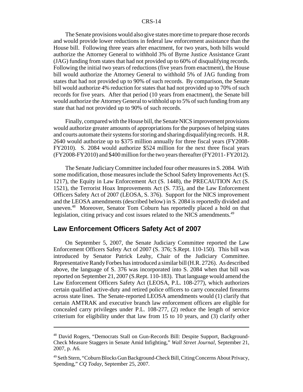The Senate provisions would also give states more time to prepare those records and would provide lower reductions in federal law enforcement assistance than the House bill. Following three years after enactment, for two years, both bills would authorize the Attorney General to withhold 3% of Byrne Justice Assistance Grant (JAG) funding from states that had not provided up to 60% of disqualifying records. Following the initial two years of reductions (five years from enactment), the House bill would authorize the Attorney General to withhold 5% of JAG funding from states that had not provided up to 90% of such records. By comparison, the Senate bill would authorize 4% reduction for states that had not provided up to 70% of such records for five years. After that period (10 years from enactment), the Senate bill would authorize the Attorney General to withhold up to 5% of such funding from any state that had not provided up to 90% of such records.

Finally, compared with the House bill, the Senate NICS improvement provisions would authorize greater amounts of appropriations for the purposes of helping states and courts automate their systems for storing and sharing disqualifying records. H.R. 2640 would authorize up to \$375 million annually for three fiscal years (FY2008- FY2010). S. 2084 would authorize \$524 million for the next three fiscal years (FY2008-FY2010) and \$400 million for the two years thereafter (FY2011- FY2012).

The Senate Judiciary Committee included four other measures in S. 2084. With some modification, those measures include the School Safety Improvements Act (S. 1217), the Equity in Law Enforcement Act (S. 1448), the PRECAUTION Act (S. 1521), the Terrorist Hoax Improvements Act (S. 735), and the Law Enforcement Officers Safety Act of 2007 (LEOSA, S. 376). Support for the NICS improvement and the LEOSA amendments (described below) in S. 2084 is reportedly divided and uneven.48 Moreover, Senator Tom Coburn has reportedly placed a hold on that legislation, citing privacy and cost issues related to the NICS amendments.<sup>49</sup>

#### **Law Enforcement Officers Safety Act of 2007**

On September 5, 2007, the Senate Judiciary Committee reported the Law Enforcement Officers Safety Act of 2007 (S. 376; S.Rept. 110-150). This bill was introduced by Senator Patrick Leahy, Chair of the Judiciary Committee. Representative Randy Forbes has introduced a similar bill (H.R. 2726). As described above, the language of S. 376 was incorporated into S. 2084 when that bill was reported on September 21, 2007 (S.Rept. 110-183). That language would amend the Law Enforcement Officers Safety Act (LEOSA, P.L. 108-277), which authorizes certain qualified active-duty and retired police officers to carry concealed firearms across state lines. The Senate-reported LEOSA amendments would (1) clarify that certain AMTRAK and executive branch law enforcement officers are eligible for concealed carry privileges under P.L. 108-277, (2) reduce the length of service criterium for eligibility under that law from 15 to 10 years, and (3) clarify other

<sup>48</sup> David Rogers, "Democrats Stall on Gun-Records Bill: Despite Support, Background-Check Measure Staggers in Senate Amid Infighting," *Wall Street Journal*, September 21, 2007, p. A6.

<sup>49</sup> Seth Stern, "Coburn Blocks Gun Background-Check Bill, Citing Concerns About Privacy, Spending," *CQ Today*, September 25, 2007.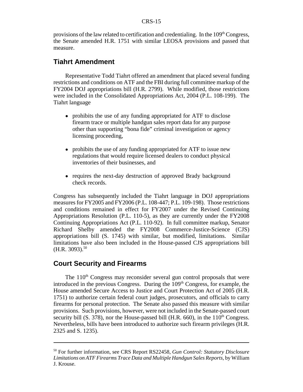provisions of the law related to certification and credentialing. In the  $109<sup>th</sup> Congress$ , the Senate amended H.R. 1751 with similar LEOSA provisions and passed that measure.

## **Tiahrt Amendment**

Representative Todd Tiahrt offered an amendment that placed several funding restrictions and conditions on ATF and the FBI during full committee markup of the FY2004 DOJ appropriations bill (H.R. 2799). While modified, those restrictions were included in the Consolidated Appropriations Act, 2004 (P.L. 108-199). The Tiahrt language

- prohibits the use of any funding appropriated for ATF to disclose firearm trace or multiple handgun sales report data for any purpose other than supporting "bona fide" criminal investigation or agency licensing proceeding,
- prohibits the use of any funding appropriated for ATF to issue new regulations that would require licensed dealers to conduct physical inventories of their businesses, and
- requires the next-day destruction of approved Brady background check records.

Congress has subsequently included the Tiahrt language in DOJ appropriations measures for FY2005 and FY2006 (P.L. 108-447; P.L. 109-198). Those restrictions and conditions remained in effect for FY2007 under the Revised Continuing Appropriations Resolution (P.L. 110-5), as they are currently under the FY2008 Continuing Appropriations Act (P.L. 110-92). In full committee markup, Senator Richard Shelby amended the FY2008 Commerce-Justice-Science (CJS) appropriations bill (S. 1745) with similar, but modified, limitations. Similar limitations have also been included in the House-passed CJS appropriations bill  $(H.R. 3093).$ <sup>50</sup>

#### **Court Security and Firearms**

The  $110<sup>th</sup>$  Congress may reconsider several gun control proposals that were introduced in the previous Congress. During the  $109<sup>th</sup>$  Congress, for example, the House amended Secure Access to Justice and Court Protection Act of 2005 (H.R. 1751) to authorize certain federal court judges, prosecutors, and officials to carry firearms for personal protection. The Senate also passed this measure with similar provisions. Such provisions, however, were not included in the Senate-passed court security bill  $(S, 378)$ , nor the House-passed bill  $(H.R. 660)$ , in the  $110<sup>th</sup>$  Congress. Nevertheless, bills have been introduced to authorize such firearm privileges (H.R. 2325 and S. 1235).

<sup>50</sup> For further information, see CRS Report RS22458, *Gun Control: Statutory Disclosure Limitations on ATF Firearms Trace Data and Multiple Handgun Sales Reports*, by William J. Krouse.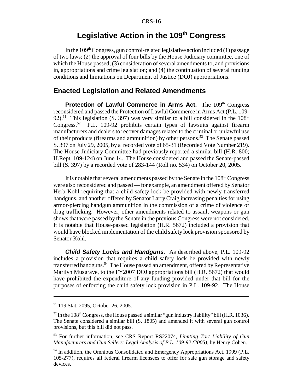# Legislative Action in the 109<sup>th</sup> Congress

In the  $109<sup>th</sup> Congress$ , gun control-related legislative action included (1) passage of two laws; (2) the approval of four bills by the House Judiciary committee, one of which the House passed; (3) consideration of several amendments to, and provisions in, appropriations and crime legislation; and (4) the continuation of several funding conditions and limitations on Department of Justice (DOJ) appropriations.

#### **Enacted Legislation and Related Amendments**

**Protection of Lawful Commerce in Arms Act.** The 109th Congress reconsidered and passed the Protection of Lawful Commerce in Arms Act (P.L. 109- 92).<sup>51</sup> This legislation (S. 397) was very similar to a bill considered in the  $108<sup>th</sup>$ Congress.52 P.L. 109-92 prohibits certain types of lawsuits against firearm manufacturers and dealers to recover damages related to the criminal or unlawful use of their products (firearms and ammunition) by other persons.<sup>53</sup> The Senate passed S. 397 on July 29, 2005, by a recorded vote of 65-31 (Recorded Vote Number 219). The House Judiciary Committee had previously reported a similar bill (H.R. 800; H.Rept. 109-124) on June 14. The House considered and passed the Senate-passed bill (S. 397) by a recorded vote of 283-144 (Roll no. 534) on October 20, 2005.

It is notable that several amendments passed by the Senate in the  $108<sup>th</sup> Congress$ were also reconsidered and passed — for example, an amendment offered by Senator Herb Kohl requiring that a child safety lock be provided with newly transferred handguns, and another offered by Senator Larry Craig increasing penalties for using armor-piercing handgun ammunition in the commission of a crime of violence or drug trafficking. However, other amendments related to assault weapons or gun shows that were passed by the Senate in the previous Congress were not considered. It is notable that House-passed legislation (H.R. 5672) included a provision that would have blocked implementation of the child safety lock provision sponsored by Senator Kohl.

*Child Safety Locks and Handguns.* As described above, P.L. 109-92 includes a provision that requires a child safety lock be provided with newly transferred handguns.<sup>54</sup> The House passed an amendment, offered by Representative Marilyn Musgrave, to the FY2007 DOJ appropriations bill (H.R. 5672) that would have prohibited the expenditure of any funding provided under that bill for the purposes of enforcing the child safety lock provision in P.L. 109-92. The House

<sup>51 119</sup> Stat. 2095, October 26, 2005.

 $52$  In the 108<sup>th</sup> Congress, the House passed a similar "gun industry liability" bill (H.R. 1036). The Senate considered a similar bill (S. 1805) and amended it with several gun control provisions, but this bill did not pass.

<sup>53</sup> For further information, see CRS Report RS22074, *Limiting Tort Liability of Gun Manufacturers and Gun Sellers: Legal Analysis of P.L. 109-92 (2005)*, by Henry Cohen.

<sup>54</sup> In addition, the Omnibus Consolidated and Emergency Appropriations Act, 1999 (P.L. 105-277), requires all federal firearm licensees to offer for sale gun storage and safety devices.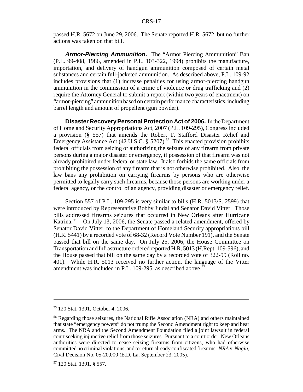passed H.R. 5672 on June 29, 2006. The Senate reported H.R. 5672, but no further actions was taken on that bill.

*Armor-Piercing Ammunition.* The "Armor Piercing Ammunition" Ban (P.L. 99-408, 1986, amended in P.L. 103-322, 1994) prohibits the manufacture, importation, and delivery of handgun ammunition composed of certain metal substances and certain full-jacketed ammunition. As described above, P.L. 109-92 includes provisions that (1) increase penalties for using armor-piercing handgun ammunition in the commission of a crime of violence or drug trafficking and (2) require the Attorney General to submit a report (within two years of enactment) on "armor-piercing" ammunition based on certain performance characteristics, including barrel length and amount of propellent (gun powder).

**Disaster Recovery Personal Protection Act of 2006.** In the Department of Homeland Security Appropriations Act, 2007 (P.L. 109-295), Congress included a provision (§ 557) that amends the Robert T. Stafford Disaster Relief and Emergency Assistance Act (42 U.S.C.  $\S$  5207).<sup>55</sup> This enacted provision prohibits federal officials from seizing or authorizing the seizure of any firearm from private persons during a major disaster or emergency, if possession of that firearm was not already prohibited under federal or state law. It also forbids the same officials from prohibiting the possession of any firearm that is not otherwise prohibited. Also, the law bans any prohibition on carrying firearms by persons who are otherwise permitted to legally carry such firearms, because those persons are working under a federal agency, or the control of an agency, providing disaster or emergency relief.

Section 557 of P.L. 109-295 is very similar to bills (H.R. 5013/S. 2599) that were introduced by Representative Bobby Jindal and Senator David Vitter. Those bills addressed firearms seizures that occurred in New Orleans after Hurricane Katrina.<sup>56</sup> On July 13, 2006, the Senate passed a related amendment, offered by On July 13, 2006, the Senate passed a related amendment, offered by Senator David Vitter, to the Department of Homeland Security appropriations bill (H.R. 5441) by a recorded vote of 68-32 (Record Vote Number 191), and the Senate passed that bill on the same day. On July 25, 2006, the House Committee on Transportation and Infrastructure ordered reported H.R. 5013 (H.Rept. 109-596), and the House passed that bill on the same day by a recorded vote of 322-99 (Roll no. 401). While H.R. 5013 received no further action, the language of the Vitter amendment was included in P.L. 109-295, as described above.<sup>57</sup>

<sup>55 120</sup> Stat. 1391, October 4, 2006.

<sup>&</sup>lt;sup>56</sup> Regarding those seizures, the National Rifle Association (NRA) and others maintained that state "emergency powers" do not trump the Second Amendment right to keep and bear arms. The NRA and the Second Amendment Foundation filed a joint lawsuit in federal court seeking injunctive relief from those seizures. Pursuant to a court order, New Orleans authorities were directed to cease seizing firearms from citizens, who had otherwise committed no criminal violations, and to return already confiscated firearms. *NRA* v. *Nagin*, Civil Decision No. 05-20,000 (E.D. La. September 23, 2005).

<sup>57 120</sup> Stat. 1391, § 557.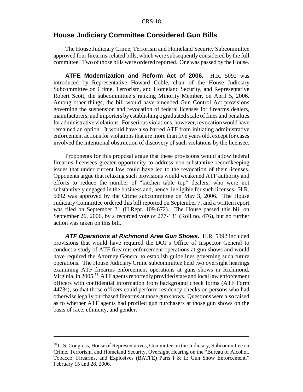## **House Judiciary Committee Considered Gun Bills**

The House Judiciary Crime, Terrorism and Homeland Security Subcommittee approved four firearms-related bills, which were subsequently considered by the full committee. Two of those bills were ordered reported. One was passed by the House.

**ATFE Modernization and Reform Act of 2006.** H.R. 5092 was introduced by Representative Howard Coble, chair of the House Judiciary Subcommittee on Crime, Terrorism, and Homeland Security, and Representative Robert Scott, the subcommittee's ranking Minority Member, on April 5, 2006. Among other things, the bill would have amended Gun Control Act provisions governing the suspension and revocation of federal licenses for firearms dealers, manufacturers, and importers by establishing a graduated scale of fines and penalties for administrative violations. For serious violations, however, revocation would have remained an option. It would have also barred ATF from initiating administrative enforcement actions for violations that are more than five years old, except for cases involved the intentional obstruction of discovery of such violations by the licensee.

Proponents for this proposal argue that these provisions would allow federal firearms licensees greater opportunity to address non-substantive recordkeeping issues that under current law could have led to the revocation of their licenses. Opponents argue that relaxing such provisions would weakened ATF authority and efforts to reduce the number of "kitchen table top" dealers, who were not substantively engaged in the business and, hence, ineligible for such licenses. H.R. 5092 was approved by the Crime subcommittee on May 3, 2006. The House Judiciary Committee ordered this bill reported on September 7, and a written report was filed on September 21 (H.Rept. 109-672). The House passed this bill on September 26, 2006, by a recorded vote of 277-131 (Roll no. 476), but no further action was taken on this bill.

*ATF Operations at Richmond Area Gun Shows.* H.R. 5092 included provisions that would have required the DOJ's Office of Inspector General to conduct a study of ATF firearms enforcement operations at gun shows and would have required the Attorney General to establish guidelines governing such future operations. The House Judiciary Crime subcommittee held two oversight hearings examining ATF firearms enforcement operations at guns shows in Richmond, Virginia, in 2005.<sup>58</sup> ATF agents reportedly provided state and local law enforcement officers with confidential information from background check forms (ATF Form 4473s), so that those officers could perform residency checks on persons who had otherwise legally purchased firearms at those gun shows. Questions were also raised as to whether ATF agents had profiled gun purchasers at those gun shows on the basis of race, ethnicity, and gender.

<sup>58</sup> U.S. Congress, House of Representatives, Committee on the Judiciary, Subcommittee on Crime, Terrorism, and Homeland Security, Oversight Hearing on the "Bureau of Alcohol, Tobacco, Firearms, and Explosives (BATFE) Parts I & II: Gun Show Enforcement," February 15 and 28, 2006.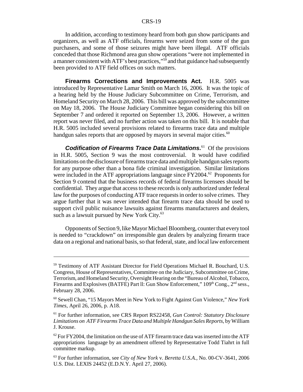In addition, according to testimony heard from both gun show participants and organizers, as well as ATF officials, firearms were seized from some of the gun purchasers, and some of those seizures might have been illegal. ATF officials conceded that those Richmond area gun show operations "were not implemented in a manner consistent with ATF's best practices,"<sup>59</sup> and that guidance had subsequently been provided to ATF field offices on such matters.

**Firearms Corrections and Improvements Act.** H.R. 5005 was introduced by Representative Lamar Smith on March 16, 2006. It was the topic of a hearing held by the House Judiciary Subcommittee on Crime, Terrorism, and Homeland Security on March 28, 2006. This bill was approved by the subcommittee on May 18, 2006. The House Judiciary Committee began considering this bill on September 7 and ordered it reported on September 13, 2006. However, a written report was never filed, and no further action was taken on this bill. It is notable that H.R. 5005 included several provisions related to firearms trace data and multiple handgun sales reports that are opposed by mayors in several major cities.<sup>60</sup>

**Codification of Firearms Trace Data Limitations.**<sup>61</sup> Of the provisions in H.R. 5005, Section 9 was the most controversial. It would have codified limitations on the disclosure of firearms trace data and multiple handgun sales reports for any purpose other than a bona fide criminal investigation. Similar limitations were included in the ATF appropriations language since FY2004.<sup>62</sup> Proponents for Section 9 contend that the business records of federal firearms licensees should be confidential. They argue that access to these records is only authorized under federal law for the purposes of conducting ATF trace requests in order to solve crimes. They argue further that it was never intended that firearm trace data should be used to support civil public nuisance lawsuits against firearms manufacturers and dealers, such as a lawsuit pursued by New York City.<sup>63</sup>

Opponents of Section 9, like Mayor Michael Bloomberg, counter that every tool is needed to "crackdown" on irresponsible gun dealers by analyzing firearm trace data on a regional and national basis, so that federal, state, and local law enforcement

<sup>&</sup>lt;sup>59</sup> Testimony of ATF Assistant Director for Field Operations Michael R. Bouchard, U.S. Congress, House of Representatives, Committee on the Judiciary, Subcommittee on Crime, Terrorism, and Homeland Security, Oversight Hearing on the "Bureau of Alcohol, Tobacco, Firearms and Explosives (BATFE) Part II: Gun Show Enforcement," 109<sup>th</sup> Cong., 2<sup>nd</sup> sess., February 28, 2006.

<sup>60</sup> Sewell Chan, "15 Mayors Meet in New York to Fight Against Gun Violence," *New York Times*, April 26, 2006, p. A18.

<sup>61</sup> For further information, see CRS Report RS22458, *Gun Control: Statutory Disclosure Limitations on ATF Firearms Trace Data and Multiple Handgun Sales Reports*, by William J. Krouse.

 $62$  For FY2004, the limitation on the use of ATF firearm trace data was inserted into the ATF appropriations language by an amendment offered by Representative Todd Tiahrt in full committee markup.

<sup>63</sup> For further information, see *City of New York* v. *Beretta U.S.A.*, No. 00-CV-3641, 2006 U.S. Dist. LEXIS 24452 (E.D.N.Y. April 27, 2006).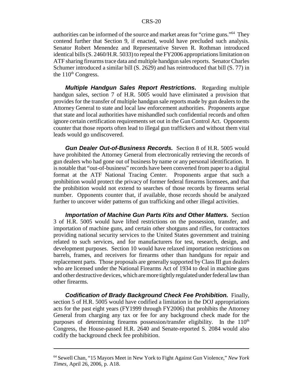authorities can be informed of the source and market areas for "crime guns."64 They contend further that Section 9, if enacted, would have precluded such analysis. Senator Robert Menendez and Representative Steven R. Rothman introduced identical bills (S. 2460/H.R. 5033) to repeal the FY2006 appropriations limitation on ATF sharing firearms trace data and multiple handgun sales reports. Senator Charles Schumer introduced a similar bill (S. 2629) and has reintroduced that bill (S. 77) in the  $110<sup>th</sup> Congress.$ 

*Multiple Handgun Sales Report Restrictions.* Regarding multiple handgun sales, section 7 of H.R. 5005 would have eliminated a provision that provides for the transfer of multiple handgun sale reports made by gun dealers to the Attorney General to state and local law enforcement authorities. Proponents argue that state and local authorities have mishandled such confidential records and often ignore certain certification requirements set out in the Gun Control Act. Opponents counter that those reports often lead to illegal gun traffickers and without them vital leads would go undiscovered.

*Gun Dealer Out-of-Business Records.* Section 8 of H.R. 5005 would have prohibited the Attorney General from electronically retrieving the records of gun dealers who had gone out of business by name or any personal identification. It is notable that "out-of-business" records have been converted from paper to a digital format at the ATF National Tracing Center. Proponents argue that such a prohibition would protect the privacy of former federal firearms licensees, and that the prohibition would not extend to searches of those records by firearms serial number. Opponents counter that, if available, those records should be analyzed further to uncover wider patterns of gun trafficking and other illegal activities.

*Importation of Machine Gun Parts Kits and Other Matters.* Section 3 of H.R. 5005 would have lifted restrictions on the possession, transfer, and importation of machine guns, and certain other shotguns and rifles, for contractors providing national security services to the United States government and training related to such services, and for manufacturers for test, research, design, and development purposes. Section 10 would have relaxed importation restrictions on barrels, frames, and receivers for firearms other than handguns for repair and replacement parts. Those proposals are generally supported by Class III gun dealers who are licensed under the National Firearms Act of 1934 to deal in machine guns and other destructive devices, which are more tightly regulated under federal law than other firearms.

*Codification of Brady Background Check Fee Prohibition.* Finally, section 5 of H.R. 5005 would have codified a limitation in the DOJ appropriations acts for the past eight years (FY1999 through FY2006) that prohibits the Attorney General from charging any tax or fee for any background check made for the purposes of determining firearms possession/transfer eligibility. In the  $110<sup>th</sup>$ Congress, the House-passed H.R. 2640 and Senate-reported S. 2084 would also codify the background check fee prohibition.

<sup>64</sup> Sewell Chan, "15 Mayors Meet in New York to Fight Against Gun Violence," *New York Times*, April 26, 2006, p. A18.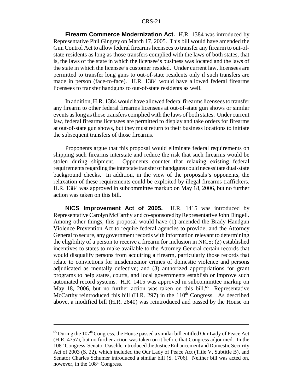**Firearm Commerce Modernization Act.** H.R. 1384 was introduced by Representative Phil Gingrey on March 17, 2005. This bill would have amended the Gun Control Act to allow federal firearms licensees to transfer any firearm to out-ofstate residents as long as those transfers complied with the laws of both states, that is, the laws of the state in which the licensee's business was located and the laws of the state in which the licensee's customer resided. Under current law, licensees are permitted to transfer long guns to out-of-state residents only if such transfers are made in person (face-to-face). H.R. 1384 would have allowed federal firearms licensees to transfer handguns to out-of-state residents as well.

In addition, H.R. 1384 would have allowed federal firearms licensees to transfer any firearm to other federal firearms licensees at out-of-state gun shows or similar events as long as those transfers complied with the laws of both states. Under current law, federal firearms licensees are permitted to display and take orders for firearms at out-of-state gun shows, but they must return to their business locations to initiate the subsequent transfers of those firearms.

Proponents argue that this proposal would eliminate federal requirements on shipping such firearms interstate and reduce the risk that such firearms would be stolen during shipment. Opponents counter that relaxing existing federal requirements regarding the interstate transfer of handguns could necessitate dual-state background checks. In addition, in the view of the proposals's opponents, the relaxation of these requirements could be exploited by illegal firearms traffickers. H.R. 1384 was approved in subcommittee markup on May 18, 2006, but no further action was taken on this bill.

**NICS Improvement Act of 2005.** H.R. 1415 was introduced by Representative Carolyn McCarthy and co-sponsored by Representative John Dingell. Among other things, this proposal would have (1) amended the Brady Handgun Violence Prevention Act to require federal agencies to provide, and the Attorney General to secure, any government records with information relevant to determining the eligibility of a person to receive a firearm for inclusion in NICS; (2) established incentives to states to make available to the Attorney General certain records that would disqualify persons from acquiring a firearm, particularly those records that relate to convictions for misdemeanor crimes of domestic violence and persons adjudicated as mentally defective; and (3) authorized appropriations for grant programs to help states, courts, and local governments establish or improve such automated record systems. H.R. 1415 was approved in subcommittee markup on May 18, 2006, but no further action was taken on this bill.<sup>65</sup> Representative McCarthy reintroduced this bill (H.R. 297) in the  $110<sup>th</sup>$  Congress. As described above, a modified bill (H.R. 2640) was reintroduced and passed by the House on

 $65$  During the 107<sup>th</sup> Congress, the House passed a similar bill entitled Our Lady of Peace Act (H.R. 4757), but no further action was taken on it before that Congress adjourned. In the 108th Congress, Senator Daschle introduced the Justice Enhancement and Domestic Security Act of 2003 (S. 22), which included the Our Lady of Peace Act (Title V, Subtitle B), and Senator Charles Schumer introduced a similar bill (S. 1706). Neither bill was acted on, however, in the 108<sup>th</sup> Congress.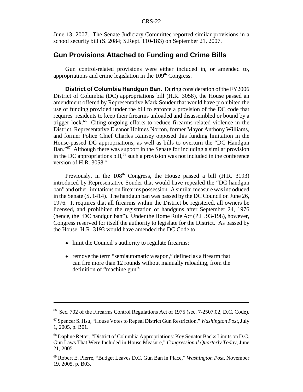June 13, 2007. The Senate Judiciary Committee reported similar provisions in a school security bill (S. 2084; S.Rept. 110-183) on September 21, 2007.

## **Gun Provisions Attached to Funding and Crime Bills**

Gun control-related provisions were either included in, or amended to, appropriations and crime legislation in the  $109<sup>th</sup>$  Congress.

**District of Columbia Handgun Ban.** During consideration of the FY2006 District of Columbia (DC) appropriations bill (H.R. 3058), the House passed an amendment offered by Representative Mark Souder that would have prohibited the use of funding provided under the bill to enforce a provision of the DC code that requires residents to keep their firearms unloaded and disassembled or bound by a trigger lock.<sup>66</sup> Citing ongoing efforts to reduce firearms-related violence in the District, Representative Eleanor Holmes Norton, former Mayor Anthony Williams, and former Police Chief Charles Ramsey opposed this funding limitation in the House-passed DC appropriations, as well as bills to overturn the "DC Handgun Ban."67 Although there was support in the Senate for including a similar provision in the DC appropriations bill, $^{68}$  such a provision was not included in the conference version of H.R.  $3058.^{69}$ 

Previously, in the  $108<sup>th</sup>$  Congress, the House passed a bill (H.R. 3193) introduced by Representative Souder that would have repealed the "DC handgun ban" and other limitations on firearms possession. A similar measure was introduced in the Senate (S. 1414). The handgun ban was passed by the DC Council on June 26, 1976. It requires that all firearms within the District be registered, all owners be licensed, and prohibited the registration of handguns after September 24, 1976 (hence, the "DC handgun ban"). Under the Home Rule Act (P.L. 93-198), however, Congress reserved for itself the authority to legislate for the District. As passed by the House, H.R. 3193 would have amended the DC Code to

- limit the Council's authority to regulate firearms;
- remove the term "semiautomatic weapon," defined as a firearm that can fire more than 12 rounds without manually reloading, from the definition of "machine gun";

<sup>&</sup>lt;sup>66</sup> Sec. 702 of the Firearms Control Regulations Act of 1975 (sec. 7-2507.02, D.C. Code).

<sup>67</sup> Spencer S. Hsu, "House Votes to Repeal District Gun Restriction," *Washington Post*, July 1, 2005, p. B01.

<sup>68</sup> Daphne Retter, "District of Columbia Appropriations: Key Senator Backs Limits on D.C. Gun Laws That Were Included in House Measure," *Congressional Quarterly Today*, June 21, 2005.

<sup>69</sup> Robert E. Pierre, "Budget Leaves D.C. Gun Ban in Place," *Washington Post*, November 19, 2005, p. B03.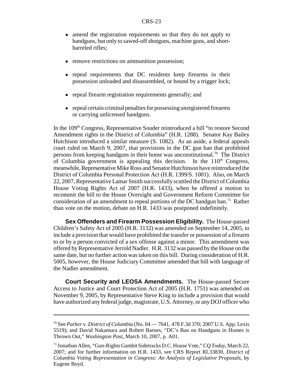- amend the registration requirements so that they do not apply to handguns, but only to sawed-off shotguns, machine guns, and shortbarreled rifles;
- remove restrictions on ammunition possession;
- repeal requirements that DC residents keep firearms in their possession unloaded and disassembled, or bound by a trigger lock;
- repeal firearm registration requirements generally; and
- repeal certain criminal penalties for possessing unregistered firearms or carrying unlicensed handguns.

In the 109<sup>th</sup> Congress, Representative Souder reintroduced a bill "to restore Second Amendment rights in the District of Columbia" (H.R. 1288). Senator Kay Bailey Hutchison introduced a similar measure (S. 1082). As an aside, a federal appeals court ruled on March 9, 2007, that provisions in the DC gun ban that prohibited persons from keeping handguns in their home was unconstitutional.<sup>70</sup> The District of Columbia government is appealing this decision. In the  $110<sup>th</sup>$  Congress, meanwhile, Representative Mike Ross and Senator Hutchinson have reintroduced the District of Columbia Personal Protection Act (H.R. 1399/S. 1001). Also, on March 22, 2007, Representative Lamar Smith successfully scuttled the District of Columbia House Voting Rights Act of 2007 (H.R. 1433), when he offered a motion to recommit the bill to the House Oversight and Government Reform Committee for consideration of an amendment to repeal portions of the DC handgun ban.<sup>71</sup> Rather than vote on the motion, debate on H.R. 1433 was postponed indefinitely.

**Sex Offenders and Firearm Possession Eligibility.** The House-passed Children's Safety Act of 2005 (H.R. 3132) was amended on September 14, 2005, to include a provision that would have prohibited the transfer or possession of a firearm to or by a person convicted of a sex offense against a minor. This amendment was offered by Representative Jerrold Nadler. H.R. 3132 was passed by the House on the same date, but no further action was taken on this bill. During consideration of H.R. 5005, however, the House Judiciary Committee amended that bill with language of the Nadler amendment.

**Court Security and LEOSA Amendments.** The House-passed Secure Access to Justice and Court Protection Act of 2005 (H.R. 1751) was amended on November 9, 2005, by Representative Steve King to include a provision that would have authorized any federal judge, magistrate, U.S. Attorney, or any DOJ officer who

<sup>70</sup> See *Parker* v. *District of Columbia* (No. 04 — 7041, 478 F.3d 370; 2007 U.S. App. Lexis 5519); and David Nakamura and Robert Barnes, "DC's Ban on Handguns in Homes is Thrown Out," *Washington Post*, March 10, 2007, p. A01.

<sup>71</sup> Jonathan Allen, "Gun-Rights Gambit Sidetracks D.C. House Vote," *CQ Today*, March 22, 2007; and for further information on H.R. 1433, see CRS Report RL33830, *District of Columbia Voting Representation in Congress: An Analysis of Legislative Proposals*, by Eugene Boyd.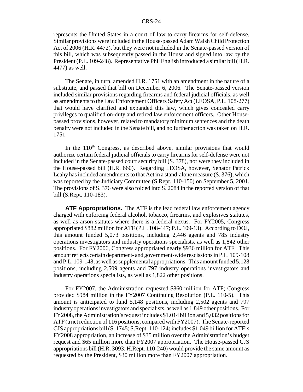represents the United States in a court of law to carry firearms for self-defense. Similar provisions were included in the House-passed Adam Walsh Child Protection Act of 2006 (H.R. 4472), but they were not included in the Senate-passed version of this bill, which was subsequently passed in the House and signed into law by the President (P.L. 109-248). Representative Phil English introduced a similar bill (H.R. 4477) as well.

The Senate, in turn, amended H.R. 1751 with an amendment in the nature of a substitute, and passed that bill on December 6, 2006. The Senate-passed version included similar provisions regarding firearms and federal judicial officials, as well as amendments to the Law Enforcement Officers Safety Act (LEOSA, P.L. 108-277) that would have clarified and expanded this law, which gives concealed carry privileges to qualified on-duty and retired law enforcement officers. Other Housepassed provisions, however, related to mandatory minimum sentences and the death penalty were not included in the Senate bill, and no further action was taken on H.R. 1751.

In the  $110<sup>th</sup>$  Congress, as described above, similar provisions that would authorize certain federal judicial officials to carry firearms for self-defense were not included in the Senate-passed court security bill (S. 378), nor were they included in the House-passed bill (H.R. 660). Regarding LEOSA, however, Senator Patrick Leahy has included amendments to that Act in a stand-alone measure (S. 376), which was reported by the Judiciary Committee (S.Rept. 110-150) on September 5, 2001. The provisions of S. 376 were also folded into S. 2084 in the reported version of that bill (S.Rept. 110-183).

**ATF Appropriations.** The ATF is the lead federal law enforcement agency charged with enforcing federal alcohol, tobacco, firearms, and explosives statutes, as well as arson statutes where there is a federal nexus. For FY2005, Congress appropriated \$882 million for ATF (P.L. 108-447; P.L. 109-13). According to DOJ, this amount funded 5,073 positions, including 2,446 agents and 785 industry operations investigators and industry operations specialists, as well as 1,842 other positions. For FY2006, Congress appropriated nearly \$936 million for ATF. This amount reflects certain department- and government-wide rescissions in P.L. 109-108 and P.L. 109-148, as well as supplemental appropriations. This amount funded 5,128 positions, including 2,509 agents and 797 industry operations investigators and industry operations specialists, as well as 1,822 other positions.

For FY2007, the Administration requested \$860 million for ATF; Congress provided \$984 million in the FY2007 Continuing Resolution (P.L. 110-5). This amount is anticipated to fund 5,148 positions, including 2,502 agents and 797 industry operations investigators and specialists, as well as 1,849 other positions. For FY2008, the Administration's request includes \$1.014 billion and 5,032 positions for ATF (a net reduction of 116 positions, compared with FY2007). The Senate-reported CJS appropriations bill (S. 1745; S.Rept. 110-124) includes \$1.049 billion for ATF's FY2008 appropriation, an increase of \$35 million over the Administration's budget request and \$65 million more than FY2007 appropriation. The House-passed CJS appropriations bill (H.R. 3093; H.Rept. 110-240) would provide the same amount as requested by the President, \$30 million more than FY2007 appropriation.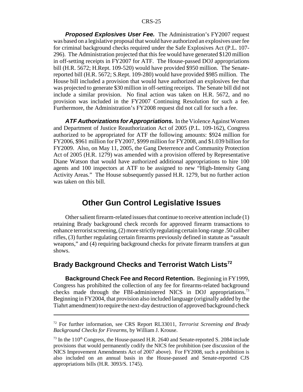**Proposed Explosives User Fee.** The Administration's FY2007 request was based on a legislative proposal that would have authorized an explosives user fee for criminal background checks required under the Safe Explosives Act (P.L. 107- 296). The Administration projected that this fee would have generated \$120 million in off-setting receipts in FY2007 for ATF. The House-passed DOJ appropriations bill (H.R. 5672; H.Rept. 109-520) would have provided \$950 million. The Senatereported bill (H.R. 5672; S.Rept. 109-280) would have provided \$985 million. The House bill included a provision that would have authorized an explosives fee that was projected to generate \$30 million in off-setting receipts. The Senate bill did not include a similar provision. No final action was taken on H.R. 5672, and no provision was included in the FY2007 Continuing Resolution for such a fee. Furthermore, the Administration's FY2008 request did not call for such a fee.

*ATF Authorizations for Appropriations.* In the Violence Against Women and Department of Justice Reauthorization Act of 2005 (P.L. 109-162), Congress authorized to be appropriated for ATF the following amounts: \$924 million for FY2006, \$961 million for FY2007, \$999 million for FY2008, and \$1.039 billion for FY2009. Also, on May 11, 2005, the Gang Deterrence and Community Protection Act of 2005 (H.R. 1279) was amended with a provision offered by Representative Diane Watson that would have authorized additional appropriations to hire 100 agents and 100 inspectors at ATF to be assigned to new "High-Intensity Gang Activity Areas." The House subsequently passed H.R. 1279, but no further action was taken on this bill.

# **Other Gun Control Legislative Issues**

Other salient firearm-related issues that continue to receive attention include (1) retaining Brady background check records for approved firearm transactions to enhance terrorist screening, (2) more strictly regulating certain long-range .50 caliber rifles, (3) further regulating certain firearms previously defined in statute as "assault weapons," and (4) requiring background checks for private firearm transfers at gun shows.

## **Brady Background Checks and Terrorist Watch Lists<sup>72</sup>**

**Background Check Fee and Record Retention.** Beginning in FY1999, Congress has prohibited the collection of any fee for firearms-related background checks made through the FBI-administered NICS in DOJ appropriations.<sup>73</sup> Beginning in FY2004, that provision also included language (originally added by the Tiahrt amendment) to require the next-day destruction of approved background check

<sup>72</sup> For further information, see CRS Report RL33011, *Terrorist Screening and Brady Background Checks for Firearms*, by William J. Krouse.

 $^{73}$  In the 110<sup>th</sup> Congress, the House-passed H.R. 2640 and Senate-reported S. 2084 include provisions that would permanently codify the NICS fee prohibition (see discussion of the NICS Improvement Amendments Act of 2007 above). For FY2008, such a prohibition is also included on an annual basis in the House-passed and Senate-reported CJS appropriations bills (H.R. 3093/S. 1745).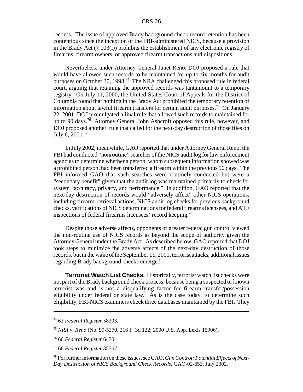records. The issue of approved Brady background check record retention has been contentious since the inception of the FBI-administered NICS, because a provision in the Brady Act  $(\S 103(i))$  prohibits the establishment of any electronic registry of firearms, firearm owners, or approved firearm transactions and dispositions.

Nevertheless, under Attorney General Janet Reno, DOJ proposed a rule that would have allowed such records to be maintained for up to six months for audit purposes on October 30, 1998.<sup>74</sup> The NRA challenged this proposed rule in federal court, arguing that retaining the approved records was tantamount to a temporary registry. On July 11, 2000, the United States Court of Appeals for the District of Columbia found that nothing in the Brady Act prohibited the temporary retention of information about lawful firearm transfers for certain audit purposes.<sup>75</sup> On January 22, 2001, DOJ promulgated a final rule that allowed such records to maintained for up to 90 days.<sup>76</sup> Attorney General John Ashcroft opposed this rule, however, and DOJ proposed another rule that called for the next-day destruction of those files on July 6, 2001.77

In July 2002, meanwhile, GAO reported that under Attorney General Reno, the FBI had conducted "nonroutine" searches of the NICS audit log for law enforcement agencies to determine whether a person, whom subsequent information showed was a prohibited person, had been transferred a firearm within the previous 90 days. The FBI informed GAO that such searches were routinely conducted but were a "secondary benefit" given that the audit log was maintained primarily to check for system "accuracy, privacy, and performance." In addition, GAO reported that the next-day destruction of records would "adversely affect" other NICS operations, including firearm-retrieval actions, NICS audit log checks for previous background checks, verifications of NICS determinations for federal firearms licensees, and ATF inspections of federal firearms licensees' record keeping.<sup>78</sup>

Despite those adverse affects, opponents of greater federal gun control viewed the non-routine use of NICS records as beyond the scope of authority given the Attorney General under the Brady Act. As described below, GAO reported that DOJ took steps to minimize the adverse affects of the next-day destruction of those records, but in the wake of the September 11, 2001, terrorist attacks, additional issues regarding Brady background checks emerged.

**Terrorist Watch List Checks.** Historically, terrorist watch list checks were not part of the Brady background check process, because being a suspected or known terrorist was and is not a disqualifying factor for firearm transfer/possession eligibility under federal or state law. As is the case today, to determine such eligibility, FBI-NICS examiners check three databases maintained by the FBI. They

<sup>74 63</sup> *Federal Register* 58303.

<sup>75</sup> *NRA* v. *Reno* (No. 99-5270, 216 F. 3d 122; 2000 U.S. App. Lexis 15906).

<sup>76 66</sup> *Federal Register* 6470.

<sup>77 66</sup> *Federal Register* 35567.

<sup>78</sup> For further information on these issues, see GAO, *Gun Control: Potential Effects of Next-Day Destruction of NICS Background Check Records*, GAO-02-653, July 2002.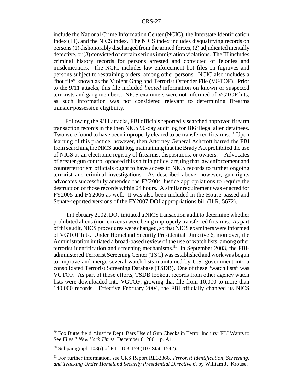include the National Crime Information Center (NCIC), the Interstate Identification Index (III), and the NICS index. The NICS index includes disqualifying records on persons (1) dishonorably discharged from the armed forces, (2) adjudicated mentally defective, or (3) convicted of certain serious immigration violations. The III includes criminal history records for persons arrested and convicted of felonies and misdemeanors. The NCIC includes law enforcement hot files on fugitives and persons subject to restraining orders, among other persons. NCIC also includes a "hot file" known as the Violent Gang and Terrorist Offender File (VGTOF). Prior to the 9/11 attacks, this file included *limited* information on known or suspected terrorists and gang members. NICS examiners were not informed of VGTOF hits, as such information was not considered relevant to determining firearms transfer/possession eligibility.

Following the 9/11 attacks, FBI officials reportedly searched approved firearm transaction records in the then NICS 90-day audit log for 186 illegal alien detainees. Two were found to have been improperly cleared to be transferred firearms.<sup>79</sup> Upon learning of this practice, however, then Attorney General Ashcroft barred the FBI from searching the NICS audit log, maintaining that the Brady Act prohibited the use of NICS as an electronic registry of firearms, dispositions, or owners.<sup>80</sup> Advocates of greater gun control opposed this shift in policy, arguing that law enforcement and counterterrorism officials ought to have access to NICS records to further ongoing terrorist and criminal investigations. As described above, however, gun rights advocates successfully amended the FY2004 Justice appropriations to require the destruction of those records within 24 hours. A similar requirement was enacted for FY2005 and FY2006 as well. It was also been included in the House-passed and Senate-reported versions of the FY2007 DOJ appropriations bill (H.R. 5672).

 In February 2002, DOJ initiated a NICS transaction audit to determine whether prohibited aliens (non-citizens) were being improperly transferred firearms. As part of this audit, NICS procedures were changed, so that NICS examiners were informed of VGTOF hits. Under Homeland Security Presidential Directive 6, moreover, the Administration initiated a broad-based review of the use of watch lists, among other terrorist identification and screening mechanisms.<sup>81</sup> In September 2003, the FBIadministered Terrorist Screening Center (TSC) was established and work was begun to improve and merge several watch lists maintained by U.S. government into a consolidated Terrorist Screening Database (TSDB). One of these "watch lists" was VGTOF. As part of those efforts, TSDB lookout records from other agency watch lists were downloaded into VGTOF, growing that file from 10,000 to more than 140,000 records. Effective February 2004, the FBI officially changed its NICS

 $79$  Fox Butterfield, "Justice Dept. Bars Use of Gun Checks in Terror Inquiry: FBI Wants to See Files," *New York Times*, December 6, 2001, p. A1.

<sup>80</sup> Subparagraph 103(i) of P.L. 103-159 (107 Stat. 1542).

<sup>81</sup> For further information, see CRS Report RL32366, *Terrorist Identification, Screening, and Tracking Under Homeland Security Presidential Directive 6*, by William J. Krouse.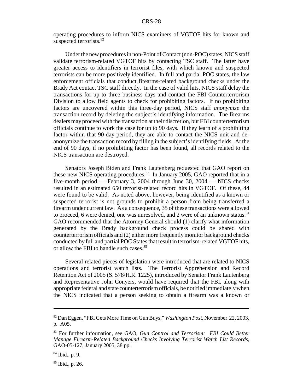operating procedures to inform NICS examiners of VGTOF hits for known and suspected terrorists.<sup>82</sup>

Under the new procedures in non-Point of Contact (non-POC) states, NICS staff validate terrorism-related VGTOF hits by contacting TSC staff. The latter have greater access to identifiers in terrorist files, with which known and suspected terrorists can be more positively identified. In full and partial POC states, the law enforcement officials that conduct firearms-related background checks under the Brady Act contact TSC staff directly. In the case of valid hits, NICS staff delay the transactions for up to three business days and contact the FBI Counterterrorism Division to allow field agents to check for prohibiting factors. If no prohibiting factors are uncovered within this three-day period, NICS staff *anonymize* the transaction record by deleting the subject's identifying information. The firearms dealers may proceed with the transaction at their discretion, but FBI counterterrorism officials continue to work the case for up to 90 days. If they learn of a prohibiting factor within that 90-day period, they are able to contact the NICS unit and deanonymize the transaction record by filling in the subject's identifying fields. At the end of 90 days, if no prohibiting factor has been found, all records related to the NICS transaction are destroyed.

Senators Joseph Biden and Frank Lautenberg requested that GAO report on these new NICS operating procedures.<sup>83</sup> In January 2005, GAO reported that in a five-month period — February 3, 2004 through June 30, 2004 — NICS checks resulted in an estimated 650 terrorist-related record hits in VGTOF. Of these, 44 were found to be valid. As noted above, however, being identified as a known or suspected terrorist is not grounds to prohibit a person from being transferred a firearm under current law. As a consequence, 35 of these transactions were allowed to proceed, 6 were denied, one was unresolved, and 2 were of an unknown status.<sup>84</sup> GAO recommended that the Attorney General should (1) clarify what information generated by the Brady background check process could be shared with counterterrorism officials and (2) either more frequently monitor background checks conducted by full and partial POC States that result in terrorism-related VGTOF hits, or allow the FBI to handle such cases.<sup>85</sup>

Several related pieces of legislation were introduced that are related to NICS operations and terrorist watch lists. The Terrorist Apprehension and Record Retention Act of 2005 (S. 578/H.R. 1225), introduced by Senator Frank Lautenberg and Representative John Conyers, would have required that the FBI, along with appropriate federal and state counterterrorism officials, be notified immediately when the NICS indicated that a person seeking to obtain a firearm was a known or

<sup>82</sup> Dan Eggen, "FBI Gets More Time on Gun Buys," *Washington Post*, November 22, 2003, p. A05.

<sup>83</sup> For further information, see GAO, *Gun Control and Terrorism: FBI Could Better Manage Firearm-Related Background Checks Involving Terrorist Watch List Records*, GAO-05-127, January 2005, 38 pp.

<sup>84</sup> Ibid., p. 9.

<sup>85</sup> Ibid., p. 26.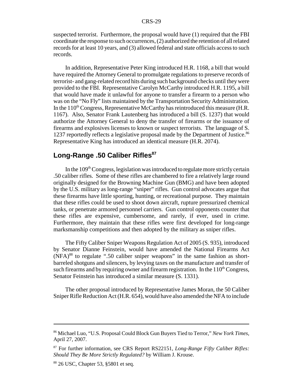suspected terrorist. Furthermore, the proposal would have (1) required that the FBI coordinate the response to such occurrences, (2) authorized the retention of all related records for at least 10 years, and (3) allowed federal and state officials access to such records.

In addition, Representative Peter King introduced H.R. 1168, a bill that would have required the Attorney General to promulgate regulations to preserve records of terrorist- and gang-related record hits during such background checks until they were provided to the FBI. Representative Carolyn McCarthy introduced H.R. 1195, a bill that would have made it unlawful for anyone to transfer a firearm to a person who was on the "No Fly" lists maintained by the Transportation Security Administration. In the  $110^{th}$  Congress, Representative McCarthy has reintroduced this measure (H.R. 1167). Also, Senator Frank Lautenberg has introduced a bill (S. 1237) that would authorize the Attorney General to deny the transfer of firearms or the issuance of firearms and explosives licenses to known or suspect terrorists. The language of S. 1237 reportedly reflects a legislative proposal made by the Department of Justice.<sup>86</sup> Representative King has introduced an identical measure (H.R. 2074).

## **Long-Range .50 Caliber Rifles**<sup>87</sup>

In the  $109<sup>th</sup> Congress$ , legislation was introduced to regulate more strictly certain .50 caliber rifles. Some of these rifles are chambered to fire a relatively large round originally designed for the Browning Machine Gun (BMG) and have been adopted by the U.S. military as long-range "sniper" rifles. Gun control advocates argue that these firearms have little sporting, hunting, or recreational purpose. They maintain that these rifles could be used to shoot down aircraft, rupture pressurized chemical tanks, or penetrate armored personnel carriers. Gun control opponents counter that these rifles are expensive, cumbersome, and rarely, if ever, used in crime. Furthermore, they maintain that these rifles were first developed for long-range marksmanship competitions and then adopted by the military as sniper rifles.

The Fifty Caliber Sniper Weapons Regulation Act of 2005 (S. 935), introduced by Senator Dianne Feinstein, would have amended the National Firearms Act  $(NFA)^{88}$  to regulate ".50 caliber sniper weapons" in the same fashion as shortbarreled shotguns and silencers, by levying taxes on the manufacture and transfer of such firearms and by requiring owner and firearm registration. In the  $110<sup>th</sup> Congress$ , Senator Feinstein has introduced a similar measure (S. 1331).

The other proposal introduced by Representative James Moran, the 50 Caliber Sniper Rifle Reduction Act (H.R. 654), would have also amended the NFA to include

<sup>86</sup> Michael Luo, "U.S. Proposal Could Block Gun Buyers Tied to Terror," *New York Times*, April 27, 2007.

<sup>87</sup> For further information, see CRS Report RS22151, *Long-Range Fifty Caliber Rifles: Should They Be More Strictly Regulated?* by William J. Krouse.

<sup>88 26</sup> USC, Chapter 53, §5801 et seq.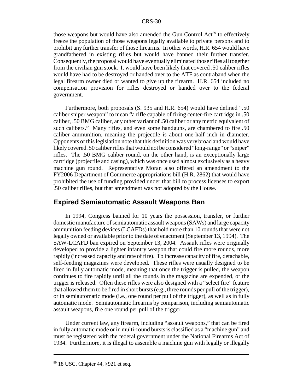those weapons but would have also amended the Gun Control Act<sup>89</sup> to effectively freeze the population of those weapons legally available to private persons and to prohibit any further transfer of those firearms. In other words, H.R. 654 would have grandfathered in existing rifles but would have banned their further transfer. Consequently, the proposal would have eventually eliminated those rifles all together from the civilian gun stock. It would have been likely that covered .50 caliber rifles would have had to be destroyed or handed over to the ATF as contraband when the legal firearm owner died or wanted to give up the firearm. H.R. 654 included no compensation provision for rifles destroyed or handed over to the federal government.

Furthermore, both proposals (S. 935 and H.R. 654) would have defined ".50 caliber sniper weapon" to mean "a rifle capable of firing center-fire cartridge in .50 caliber, .50 BMG caliber, any other variant of .50 caliber or any metric equivalent of such calibers." Many rifles, and even some handguns, are chambered to fire .50 caliber ammunition, meaning the projectile is about one-half inch in diameter. Opponents of this legislation note that this definition was very broad and would have likely covered .50 caliber rifles that would not be considered "long-range" or "sniper" rifles. The .50 BMG caliber round, on the other hand, is an exceptionally large cartridge (projectile and casing), which was once used almost exclusively as a heavy machine gun round. Representative Moran also offered an amendment to the FY2006 Department of Commerce appropriations bill (H.R. 2862) that would have prohibited the use of funding provided under that bill to process licenses to export .50 caliber rifles, but that amendment was not adopted by the House.

#### **Expired Semiautomatic Assault Weapons Ban**

In 1994, Congress banned for 10 years the possession, transfer, or further domestic manufacture of semiautomatic assault weapons (SAWs) and large capacity ammunition feeding devices (LCAFDs) that hold more than 10 rounds that were not legally owned or available prior to the date of enactment (September 13, 1994). The SAW-LCAFD ban expired on September 13, 2004. Assault rifles were originally developed to provide a lighter infantry weapon that could fire more rounds, more rapidly (increased capacity and rate of fire). To increase capacity of fire, detachable, self-feeding magazines were developed. These rifles were usually designed to be fired in fully automatic mode, meaning that once the trigger is pulled, the weapon continues to fire rapidly until all the rounds in the magazine are expended, or the trigger is released. Often these rifles were also designed with a "select fire" feature that allowed them to be fired in short bursts (e.g., three rounds per pull of the trigger), or in semiautomatic mode (i.e., one round per pull of the trigger), as well as in fully automatic mode. Semiautomatic firearms by comparison, including semiautomatic assault weapons, fire one round per pull of the trigger.

Under current law, any firearm, including "assault weapons," that can be fired in fully automatic mode or in multi-round bursts is classified as a "machine gun" and must be registered with the federal government under the National Firearms Act of 1934. Furthermore, it is illegal to assemble a machine gun with legally or illegally

 $89$  18 USC, Chapter 44,  $\S$ 921 et seq.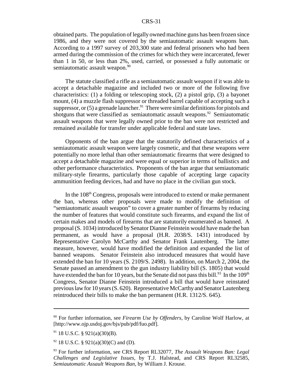obtained parts. The population of legally owned machine guns has been frozen since 1986, and they were not covered by the semiautomatic assault weapons ban. According to a 1997 survey of 203,300 state and federal prisoners who had been armed during the commission of the crimes for which they were incarcerated, fewer than 1 in 50, or less than 2%, used, carried, or possessed a fully automatic or semiautomatic assault weapon.<sup>90</sup>

The statute classified a rifle as a semiautomatic assault weapon if it was able to accept a detachable magazine and included two or more of the following five characteristics: (1) a folding or telescoping stock, (2) a pistol grip, (3) a bayonet mount, (4) a muzzle flash suppressor or threaded barrel capable of accepting such a suppressor, or  $(5)$  a grenade launcher.<sup>91</sup> There were similar definitions for pistols and shotguns that were classified as semiautomatic assault weapons.<sup>92</sup> Semiautomatic assault weapons that were legally owned prior to the ban were not restricted and remained available for transfer under applicable federal and state laws.

Opponents of the ban argue that the statutorily defined characteristics of a semiautomatic assault weapon were largely cosmetic, and that these weapons were potentially no more lethal than other semiautomatic firearms that were designed to accept a detachable magazine and were equal or superior in terms of ballistics and other performance characteristics. Proponents of the ban argue that semiautomatic military-style firearms, particularly those capable of accepting large capacity ammunition feeding devices, had and have no place in the civilian gun stock.

In the  $108<sup>th</sup> Congress$ , proposals were introduced to extend or make permanent the ban, whereas other proposals were made to modify the definition of "semiautomatic assault weapon" to cover a greater number of firearms by reducing the number of features that would constitute such firearms, and expand the list of certain makes and models of firearms that are statutorily enumerated as banned. A proposal (S. 1034) introduced by Senator Dianne Feinstein would have made the ban permanent, as would have a proposal (H.R. 2038/S. 1431) introduced by Representative Carolyn McCarthy and Senator Frank Lautenberg. The latter measure, however, would have modified the definition and expanded the list of banned weapons. Senator Feinstein also introduced measures that would have extended the ban for 10 years (S. 2109/S. 2498). In addition, on March 2, 2004, the Senate passed an amendment to the gun industry liability bill (S. 1805) that would have extended the ban for 10 years, but the Senate did not pass this bill.<sup>93</sup> In the 109<sup>th</sup> Congress, Senator Dianne Feinstein introduced a bill that would have reinstated previous law for 10 years (S. 620). Representative McCarthy and Senator Lautenberg reintroduced their bills to make the ban permanent (H.R. 1312/S. 645).

<sup>90</sup> For further information, see *Firearm Use by Offenders*, by Caroline Wolf Harlow, at [http://www.ojp.usdoj.gov/bjs/pub/pdf/fuo.pdf].

<sup>91 18</sup> U.S.C. § 921(a)(30)(B).

 $92$  18 U.S.C. § 921(a)(30)(C) and (D).

<sup>93</sup> For further information, see CRS Report RL32077, *The Assault Weapons Ban: Legal Challenges and Legislative Issues*, by T.J. Halstead, and CRS Report RL32585, *Semiautomatic Assault Weapons Ban*, by William J. Krouse.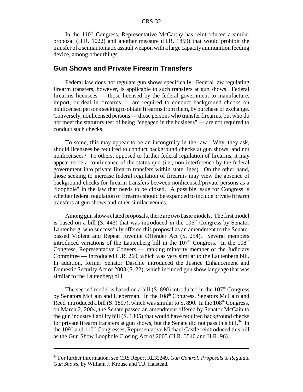In the  $110<sup>th</sup>$  Congress, Representative McCarthy has reintroduced a similar proposal (H.R. 1022) and another measure (H.R. 1859) that would prohibit the transfer of a semiautomatic assault weapon with a large capacity ammunition feeding device, among other things.

#### **Gun Shows and Private Firearm Transfers**

Federal law does not regulate gun shows specifically. Federal law regulating firearm transfers, however, is applicable to such transfers at gun shows. Federal firearms licensees — those licensed by the federal government to manufacture, import, or deal in firearms — are required to conduct background checks on nonlicensed persons seeking to obtain firearms from them, by purchase or exchange. Conversely, nonlicensed persons — those persons who transfer firearms, but who do not meet the statutory test of being "engaged in the business" — are not required to conduct such checks.

To some, this may appear to be an incongruity in the law. Why, they ask, should licensees be required to conduct background checks at gun shows, and not nonlicensees? To others, opposed to further federal regulation of firearms, it may appear to be a continuance of the status quo (i.e., non-interference by the federal government into private firearm transfers within state lines). On the other hand, those seeking to increase federal regulation of firearms may view the absence of background checks for firearm transfers between nonlicensed/private persons as a "loophole" in the law that needs to be closed. A possible issue for Congress is whether federal regulation of firearms should be expanded to include private firearm transfers at gun shows and other similar venues.

Among gun show-related proposals, there are two basic models. The first model is based on a bill  $(S. 443)$  that was introduced in the  $106<sup>th</sup>$  Congress by Senator Lautenberg, who successfully offered this proposal as an amendment to the Senatepassed Violent and Repeat Juvenile Offender Act (S. 254). Several members introduced variations of the Lautenberg bill in the  $107<sup>th</sup>$  Congress. In the  $108<sup>th</sup>$ Congress, Representative Conyers — ranking minority member of the Judiciary Committee — introduced H.R. 260, which was very similar to the Lautenberg bill. In addition, former Senator Daschle introduced the Justice Enhancement and Domestic Security Act of 2003 (S. 22), which included gun show language that was similar to the Lautenberg bill.

The second model is based on a bill  $(S. 890)$  introduced in the  $107<sup>th</sup>$  Congress by Senators McCain and Lieberman. In the 108<sup>th</sup> Congress, Senators McCain and Reed introduced a bill  $(S. 1807)$ , which was similar to S. 890. In the  $108<sup>th</sup>$  Congress, on March 2, 2004, the Senate passed an amendment offered by Senator McCain to the gun industry liability bill (S. 1805) that would have required background checks for private firearm transfers at gun shows, but the Senate did not pass this bill.<sup>94</sup> In the 109<sup>th</sup> and 110<sup>th</sup> Congresses, Representative Michael Castle reintroduced this bill as the Gun Show Loophole Closing Act of 2005 (H.R. 3540 and H.R. 96).

<sup>94</sup> For further information, see CRS Report RL32249, *Gun Control: Proposals to Regulate Gun Shows*, by William J. Krouse and T.J. Halstead.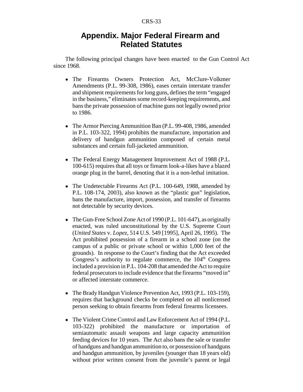# **Appendix. Major Federal Firearm and Related Statutes**

The following principal changes have been enacted to the Gun Control Act since 1968.

- The Firearms Owners Protection Act, McClure-Volkmer Amendments (P.L. 99-308, 1986), eases certain interstate transfer and shipment requirements for long guns, defines the term "engaged in the business," eliminates some record-keeping requirements, and bans the private possession of machine guns not legally owned prior to 1986.
- The Armor Piercing Ammunition Ban (P.L. 99-408, 1986, amended in P.L. 103-322, 1994) prohibits the manufacture, importation and delivery of handgun ammunition composed of certain metal substances and certain full-jacketed ammunition.
- The Federal Energy Management Improvement Act of 1988 (P.L. 100-615) requires that all toys or firearm look-a-likes have a blazed orange plug in the barrel, denoting that it is a non-lethal imitation.
- The Undetectable Firearms Act (P.L. 100-649, 1988, amended by P.L. 108-174, 2003), also known as the "plastic gun" legislation, bans the manufacture, import, possession, and transfer of firearms not detectable by security devices.
- The Gun-Free School Zone Act of 1990 (P.L. 101-647), as originally enacted, was ruled unconstitutional by the U.S. Supreme Court (*United States* v. *Lopez*, 514 U.S. 549 [1995], April 26, 1995). The Act prohibited possession of a firearm in a school zone (on the campus of a public or private school or within 1,000 feet of the grounds). In response to the Court's finding that the Act exceeded Congress's authority to regulate commerce, the  $104<sup>th</sup>$  Congress included a provision in P.L. 104-208 that amended the Act to require federal prosecutors to include evidence that the firearms "moved in" or affected interstate commerce.
- The Brady Handgun Violence Prevention Act, 1993 (P.L. 103-159), requires that background checks be completed on all nonlicensed person seeking to obtain firearms from federal firearms licensees.
- The Violent Crime Control and Law Enforcement Act of 1994 (P.L. 103-322) prohibited the manufacture or importation of semiautomatic assault weapons and large capacity ammunition feeding devices for 10 years. The Act also bans the sale or transfer of handguns and handgun ammunition to, or possession of handguns and handgun ammunition, by juveniles (younger than 18 years old) without prior written consent from the juvenile's parent or legal